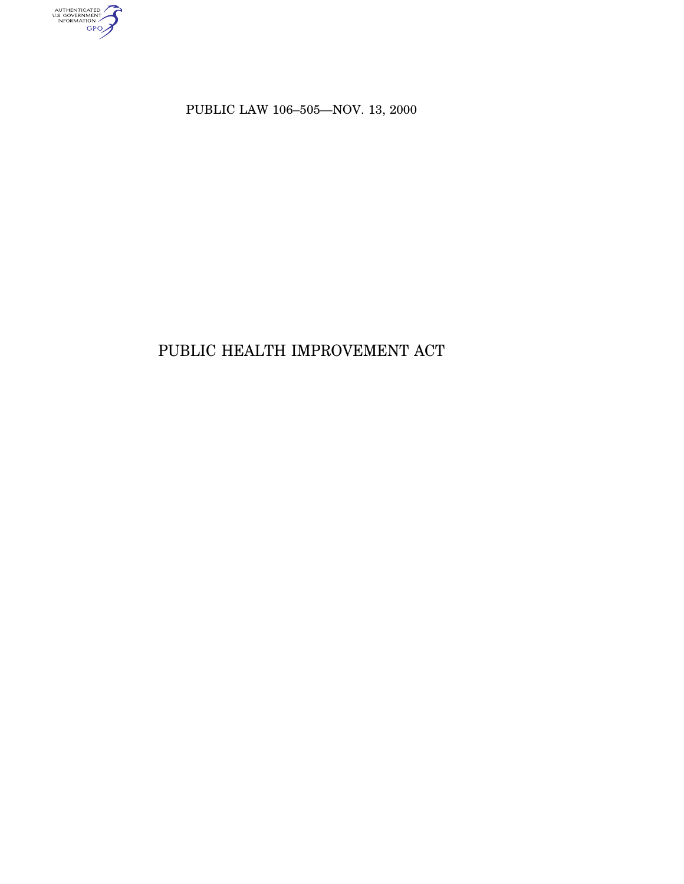AUTHENTICATED<br>U.S. GOVERNMENT<br>INFORMATION<br>GPO

PUBLIC LAW 106–505—NOV. 13, 2000

# PUBLIC HEALTH IMPROVEMENT ACT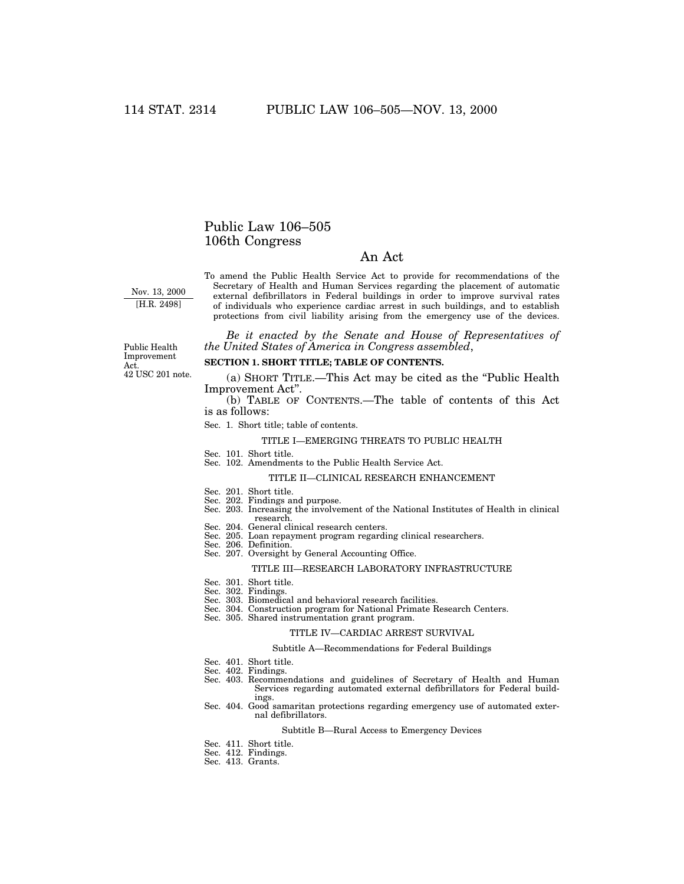### Public Law 106–505 106th Congress

### An Act

Nov. 13, 2000 [H.R. 2498]

To amend the Public Health Service Act to provide for recommendations of the Secretary of Health and Human Services regarding the placement of automatic external defibrillators in Federal buildings in order to improve survival rates of individuals who experience cardiac arrest in such buildings, and to establish protections from civil liability arising from the emergency use of the devices.

*Be it enacted by the Senate and House of Representatives of the United States of America in Congress assembled*,

#### 42 USC 201 note. Public Health Improvement Act.

### **SECTION 1. SHORT TITLE; TABLE OF CONTENTS.**

(a) SHORT TITLE.—This Act may be cited as the ''Public Health Improvement Act''.

(b) TABLE OF CONTENTS.—The table of contents of this Act is as follows:

Sec. 1. Short title; table of contents.

#### TITLE I—EMERGING THREATS TO PUBLIC HEALTH

- Sec. 101. Short title.
- Sec. 102. Amendments to the Public Health Service Act.

#### TITLE II—CLINICAL RESEARCH ENHANCEMENT

- 
- Sec. 201. Short title. Sec. 202. Findings and purpose.
- Sec. 203. Increasing the involvement of the National Institutes of Health in clinical research.
- Sec. 204. General clinical research centers.
- Sec. 205. Loan repayment program regarding clinical researchers.
- Sec. 206. Definition.
- Sec. 207. Oversight by General Accounting Office.

#### TITLE III—RESEARCH LABORATORY INFRASTRUCTURE

- Sec. 301. Short title.
- Sec. 302. Findings.
- Sec. 303. Biomedical and behavioral research facilities.
- Sec. 304. Construction program for National Primate Research Centers.
- Sec. 305. Shared instrumentation grant program.

#### TITLE IV—CARDIAC ARREST SURVIVAL

#### Subtitle A—Recommendations for Federal Buildings

- Sec. 401. Short title.
- Sec. 402. Findings.
- Sec. 403. Recommendations and guidelines of Secretary of Health and Human Services regarding automated external defibrillators for Federal buildings.
- Sec. 404. Good samaritan protections regarding emergency use of automated external defibrillators.

#### Subtitle B—Rural Access to Emergency Devices

- Sec. 411. Short title.
- Sec. 412. Findings. Sec. 413. Grants.
-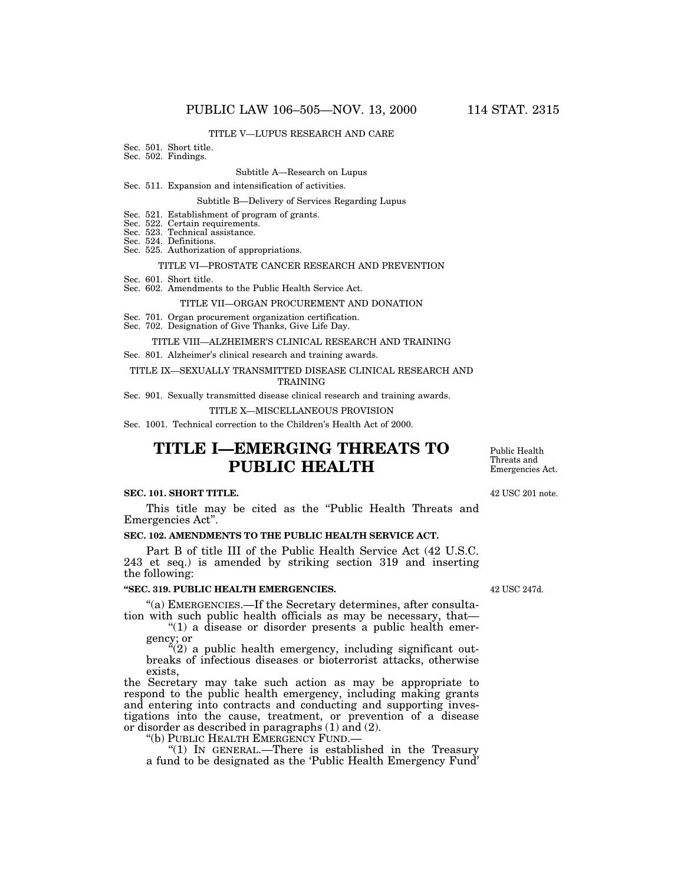#### TITLE V—LUPUS RESEARCH AND CARE

#### Sec. 501. Short title.

Sec. 502. Findings.

#### Subtitle A—Research on Lupus

#### Sec. 511. Expansion and intensification of activities.

#### Subtitle B—Delivery of Services Regarding Lupus

- Sec. 521. Establishment of program of grants.
- Sec. 522. Certain requirements.
- Sec. 523. Technical assistance.
- Sec. 524. Definitions.
- Sec. 525. Authorization of appropriations.

#### TITLE VI—PROSTATE CANCER RESEARCH AND PREVENTION

- Sec. 601. Short title.
- Sec. 602. Amendments to the Public Health Service Act.

#### TITLE VII—ORGAN PROCUREMENT AND DONATION

- Sec. 701. Organ procurement organization certification.
- Sec. 702. Designation of Give Thanks, Give Life Day.

#### TITLE VIII—ALZHEIMER'S CLINICAL RESEARCH AND TRAINING

Sec. 801. Alzheimer's clinical research and training awards.

#### TITLE IX—SEXUALLY TRANSMITTED DISEASE CLINICAL RESEARCH AND

#### TRAINING

Sec. 901. Sexually transmitted disease clinical research and training awards.

#### TITLE X—MISCELLANEOUS PROVISION

Sec. 1001. Technical correction to the Children's Health Act of 2000.

# **TITLE I—EMERGING THREATS TO PUBLIC HEALTH**

#### **SEC. 101. SHORT TITLE.**

This title may be cited as the "Public Health Threats and Emergencies Act''.

### **SEC. 102. AMENDMENTS TO THE PUBLIC HEALTH SERVICE ACT.**

Part B of title III of the Public Health Service Act (42 U.S.C. 243 et seq.) is amended by striking section 319 and inserting the following:

#### **''SEC. 319. PUBLIC HEALTH EMERGENCIES.**

''(a) EMERGENCIES.—If the Secretary determines, after consultation with such public health officials as may be necessary, that—

''(1) a disease or disorder presents a public health emergency; or

 $i(2)$  a public health emergency, including significant outbreaks of infectious diseases or bioterrorist attacks, otherwise exists,

the Secretary may take such action as may be appropriate to respond to the public health emergency, including making grants and entering into contracts and conducting and supporting investigations into the cause, treatment, or prevention of a disease or disorder as described in paragraphs (1) and (2).<br>"(b) PUBLIC HEALTH EMERGENCY FUND.—

"(1) IN GENERAL.—There is established in the Treasury a fund to be designated as the 'Public Health Emergency Fund'

42 USC 247d.

Public Health Threats and Emergencies Act.

42 USC 201 note.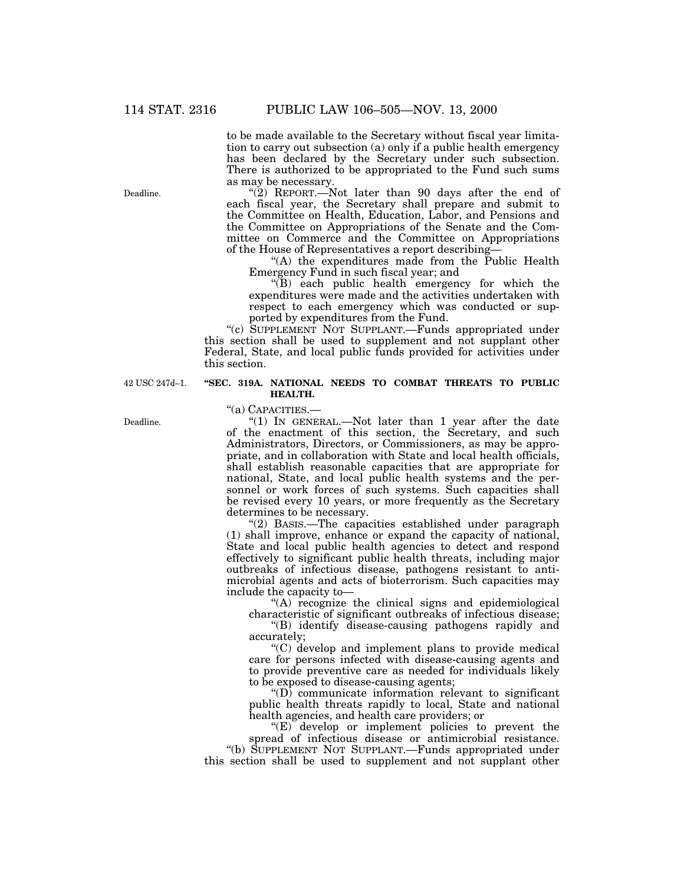Deadline.

to be made available to the Secretary without fiscal year limitation to carry out subsection (a) only if a public health emergency has been declared by the Secretary under such subsection. There is authorized to be appropriated to the Fund such sums as may be necessary.

"(2) REPORT.—Not later than 90 days after the end of each fiscal year, the Secretary shall prepare and submit to the Committee on Health, Education, Labor, and Pensions and the Committee on Appropriations of the Senate and the Committee on Commerce and the Committee on Appropriations of the House of Representatives a report describing—

"(A) the expenditures made from the Public Health Emergency Fund in such fiscal year; and

''(B) each public health emergency for which the expenditures were made and the activities undertaken with respect to each emergency which was conducted or supported by expenditures from the Fund.

''(c) SUPPLEMENT NOT SUPPLANT.—Funds appropriated under this section shall be used to supplement and not supplant other Federal, State, and local public funds provided for activities under this section.

#### **''SEC. 319A. NATIONAL NEEDS TO COMBAT THREATS TO PUBLIC HEALTH.**

''(a) CAPACITIES.—

"(1) IN GENERAL.—Not later than 1 year after the date of the enactment of this section, the Secretary, and such Administrators, Directors, or Commissioners, as may be appropriate, and in collaboration with State and local health officials, shall establish reasonable capacities that are appropriate for national, State, and local public health systems and the personnel or work forces of such systems. Such capacities shall be revised every 10 years, or more frequently as the Secretary determines to be necessary.

''(2) BASIS.—The capacities established under paragraph (1) shall improve, enhance or expand the capacity of national, State and local public health agencies to detect and respond effectively to significant public health threats, including major outbreaks of infectious disease, pathogens resistant to antimicrobial agents and acts of bioterrorism. Such capacities may include the capacity to—

''(A) recognize the clinical signs and epidemiological characteristic of significant outbreaks of infectious disease;

''(B) identify disease-causing pathogens rapidly and accurately;

''(C) develop and implement plans to provide medical care for persons infected with disease-causing agents and to provide preventive care as needed for individuals likely to be exposed to disease-causing agents;

 $\mathrm{``(D)}$  communicate information relevant to significant public health threats rapidly to local, State and national health agencies, and health care providers; or

 $E$ ) develop or implement policies to prevent the spread of infectious disease or antimicrobial resistance.

''(b) SUPPLEMENT NOT SUPPLANT.—Funds appropriated under this section shall be used to supplement and not supplant other

42 USC 247d–1.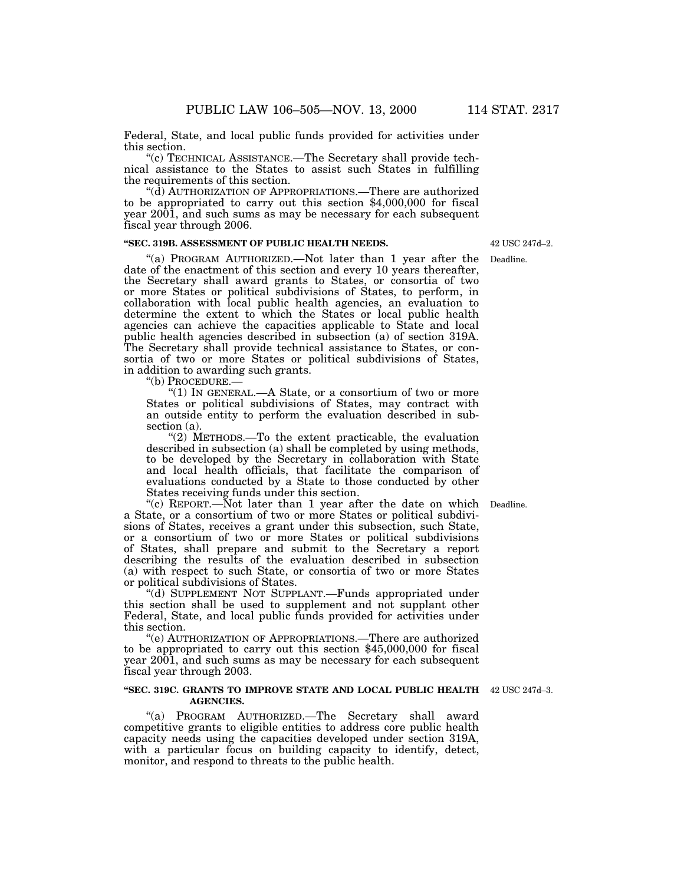Federal, State, and local public funds provided for activities under

 $t(c)$  TECHNICAL ASSISTANCE.—The Secretary shall provide technical assistance to the States to assist such States in fulfilling

"( $d$ ) AUTHORIZATION OF APPROPRIATIONS.—There are authorized to be appropriated to carry out this section \$4,000,000 for fiscal year 2001, and such sums as may be necessary for each subsequent fiscal year through 2006.

#### **''SEC. 319B. ASSESSMENT OF PUBLIC HEALTH NEEDS.**

"(a) PROGRAM AUTHORIZED.—Not later than 1 year after the date of the enactment of this section and every 10 years thereafter, the Secretary shall award grants to States, or consortia of two or more States or political subdivisions of States, to perform, in collaboration with local public health agencies, an evaluation to determine the extent to which the States or local public health agencies can achieve the capacities applicable to State and local public health agencies described in subsection (a) of section 319A. The Secretary shall provide technical assistance to States, or consortia of two or more States or political subdivisions of States, in addition to awarding such grants.<br>"(b) PROCEDURE.—

''(1) IN GENERAL.—A State, or a consortium of two or more States or political subdivisions of States, may contract with an outside entity to perform the evaluation described in subsection (a).

"(2) METHODS.—To the extent practicable, the evaluation described in subsection (a) shall be completed by using methods, to be developed by the Secretary in collaboration with State and local health officials, that facilitate the comparison of evaluations conducted by a State to those conducted by other States receiving funds under this section.

"(c) REPORT.—Not later than 1 year after the date on which Deadline. a State, or a consortium of two or more States or political subdivisions of States, receives a grant under this subsection, such State, or a consortium of two or more States or political subdivisions of States, shall prepare and submit to the Secretary a report describing the results of the evaluation described in subsection (a) with respect to such State, or consortia of two or more States or political subdivisions of States.

''(d) SUPPLEMENT NOT SUPPLANT.—Funds appropriated under this section shall be used to supplement and not supplant other Federal, State, and local public funds provided for activities under this section.

''(e) AUTHORIZATION OF APPROPRIATIONS.—There are authorized to be appropriated to carry out this section \$45,000,000 for fiscal year 2001, and such sums as may be necessary for each subsequent fiscal year through 2003.

#### **''SEC. 319C. GRANTS TO IMPROVE STATE AND LOCAL PUBLIC HEALTH** 42 USC 247d–3. **AGENCIES.**

''(a) PROGRAM AUTHORIZED.—The Secretary shall award competitive grants to eligible entities to address core public health capacity needs using the capacities developed under section 319A, with a particular focus on building capacity to identify, detect, monitor, and respond to threats to the public health.

42 USC 247d–2.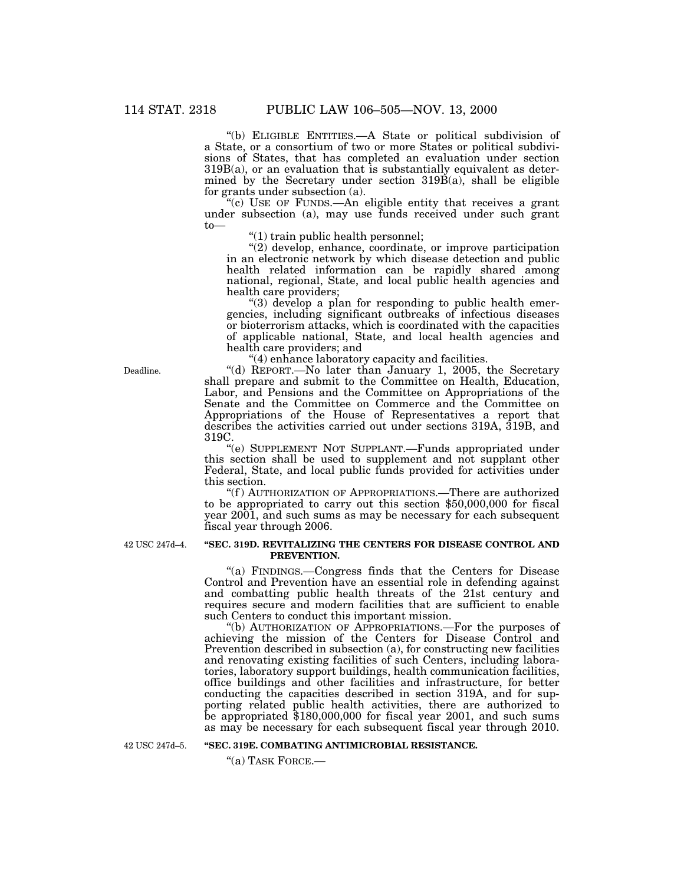''(b) ELIGIBLE ENTITIES.—A State or political subdivision of a State, or a consortium of two or more States or political subdivisions of States, that has completed an evaluation under section 319B(a), or an evaluation that is substantially equivalent as determined by the Secretary under section 319B(a), shall be eligible for grants under subsection (a).

"(c) USE OF FUNDS.—An eligible entity that receives a grant under subsection (a), may use funds received under such grant to—  $''(1)$  train public health personnel;

''(2) develop, enhance, coordinate, or improve participation in an electronic network by which disease detection and public health related information can be rapidly shared among national, regional, State, and local public health agencies and

"(3) develop a plan for responding to public health emergencies, including significant outbreaks of infectious diseases or bioterrorism attacks, which is coordinated with the capacities of applicable national, State, and local health agencies and

"(4) enhance laboratory capacity and facilities. "(d) REPORT.—No later than January 1, 2005, the Secretary shall prepare and submit to the Committee on Health, Education, Labor, and Pensions and the Committee on Appropriations of the Senate and the Committee on Commerce and the Committee on Appropriations of the House of Representatives a report that describes the activities carried out under sections 319A, 319B, and 319C.

''(e) SUPPLEMENT NOT SUPPLANT.—Funds appropriated under this section shall be used to supplement and not supplant other Federal, State, and local public funds provided for activities under this section.

''(f ) AUTHORIZATION OF APPROPRIATIONS.—There are authorized to be appropriated to carry out this section \$50,000,000 for fiscal year 2001, and such sums as may be necessary for each subsequent fiscal year through 2006.

42 USC 247d–4.

#### **''SEC. 319D. REVITALIZING THE CENTERS FOR DISEASE CONTROL AND PREVENTION.**

''(a) FINDINGS.—Congress finds that the Centers for Disease Control and Prevention have an essential role in defending against and combatting public health threats of the 21st century and requires secure and modern facilities that are sufficient to enable such Centers to conduct this important mission.

''(b) AUTHORIZATION OF APPROPRIATIONS.—For the purposes of achieving the mission of the Centers for Disease Control and Prevention described in subsection (a), for constructing new facilities and renovating existing facilities of such Centers, including laboratories, laboratory support buildings, health communication facilities, office buildings and other facilities and infrastructure, for better conducting the capacities described in section 319A, and for supporting related public health activities, there are authorized to be appropriated \$180,000,000 for fiscal year 2001, and such sums as may be necessary for each subsequent fiscal year through 2010.

42 USC 247d–5.

#### **''SEC. 319E. COMBATING ANTIMICROBIAL RESISTANCE.**

''(a) TASK FORCE.—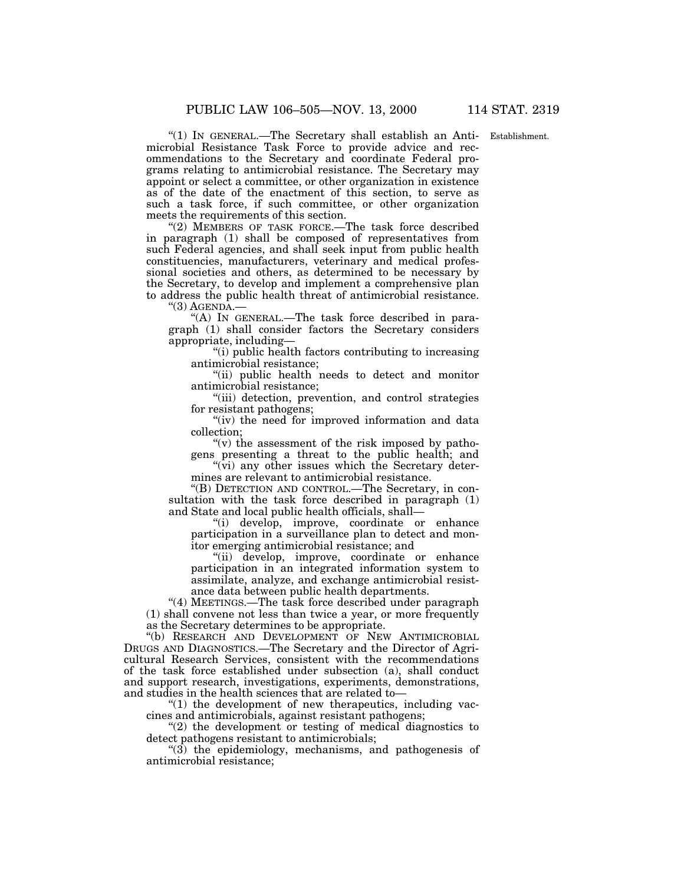Establishment.

''(1) IN GENERAL.—The Secretary shall establish an Antimicrobial Resistance Task Force to provide advice and recommendations to the Secretary and coordinate Federal programs relating to antimicrobial resistance. The Secretary may appoint or select a committee, or other organization in existence as of the date of the enactment of this section, to serve as such a task force, if such committee, or other organization meets the requirements of this section.

"(2) MEMBERS OF TASK FORCE.-The task force described in paragraph (1) shall be composed of representatives from such Federal agencies, and shall seek input from public health constituencies, manufacturers, veterinary and medical professional societies and others, as determined to be necessary by the Secretary, to develop and implement a comprehensive plan to address the public health threat of antimicrobial resistance.

 $"(3)$  AGENDA. $-$ 

''(A) IN GENERAL.—The task force described in paragraph (1) shall consider factors the Secretary considers appropriate, including—

''(i) public health factors contributing to increasing antimicrobial resistance;

''(ii) public health needs to detect and monitor antimicrobial resistance;

''(iii) detection, prevention, and control strategies for resistant pathogens;

"(iv) the need for improved information and data collection;

" $(v)$  the assessment of the risk imposed by pathogens presenting a threat to the public health; and

" $(vi)$  any other issues which the Secretary determines are relevant to antimicrobial resistance.

''(B) DETECTION AND CONTROL.—The Secretary, in consultation with the task force described in paragraph (1) and State and local public health officials, shall—

''(i) develop, improve, coordinate or enhance participation in a surveillance plan to detect and monitor emerging antimicrobial resistance; and

''(ii) develop, improve, coordinate or enhance participation in an integrated information system to assimilate, analyze, and exchange antimicrobial resistance data between public health departments.

"(4) MEETINGS.—The task force described under paragraph (1) shall convene not less than twice a year, or more frequently as the Secretary determines to be appropriate.

''(b) RESEARCH AND DEVELOPMENT OF NEW ANTIMICROBIAL DRUGS AND DIAGNOSTICS.—The Secretary and the Director of Agricultural Research Services, consistent with the recommendations of the task force established under subsection (a), shall conduct and support research, investigations, experiments, demonstrations, and studies in the health sciences that are related to—

 $''(1)$  the development of new therapeutics, including vaccines and antimicrobials, against resistant pathogens;

''(2) the development or testing of medical diagnostics to detect pathogens resistant to antimicrobials;

 $\degree$ (3) the epidemiology, mechanisms, and pathogenesis of antimicrobial resistance;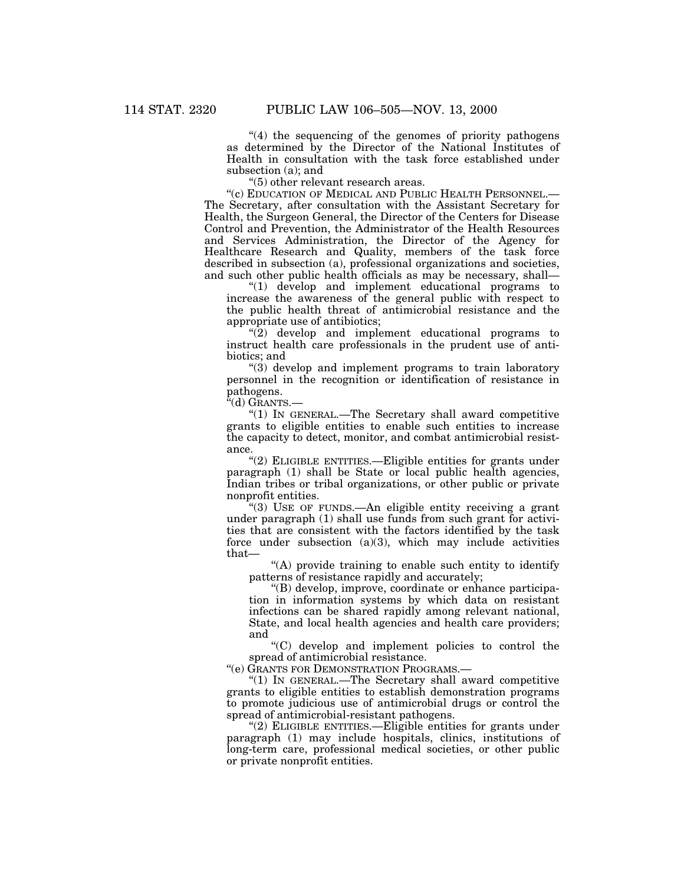"(4) the sequencing of the genomes of priority pathogens as determined by the Director of the National Institutes of Health in consultation with the task force established under subsection (a); and

''(5) other relevant research areas.

''(c) EDUCATION OF MEDICAL AND PUBLIC HEALTH PERSONNEL.— The Secretary, after consultation with the Assistant Secretary for Health, the Surgeon General, the Director of the Centers for Disease Control and Prevention, the Administrator of the Health Resources and Services Administration, the Director of the Agency for Healthcare Research and Quality, members of the task force described in subsection (a), professional organizations and societies, and such other public health officials as may be necessary, shall—

''(1) develop and implement educational programs to increase the awareness of the general public with respect to the public health threat of antimicrobial resistance and the appropriate use of antibiotics;

 $\sqrt{\frac{2}{2}}$  develop and implement educational programs to instruct health care professionals in the prudent use of antibiotics; and

''(3) develop and implement programs to train laboratory personnel in the recognition or identification of resistance in pathogens.

''(d) GRANTS.—

''(1) IN GENERAL.—The Secretary shall award competitive grants to eligible entities to enable such entities to increase the capacity to detect, monitor, and combat antimicrobial resistance.

''(2) ELIGIBLE ENTITIES.—Eligible entities for grants under paragraph (1) shall be State or local public health agencies, Indian tribes or tribal organizations, or other public or private nonprofit entities.

''(3) USE OF FUNDS.—An eligible entity receiving a grant under paragraph (1) shall use funds from such grant for activities that are consistent with the factors identified by the task force under subsection  $(a)(3)$ , which may include activities that—

"(A) provide training to enable such entity to identify patterns of resistance rapidly and accurately;

''(B) develop, improve, coordinate or enhance participation in information systems by which data on resistant infections can be shared rapidly among relevant national, State, and local health agencies and health care providers; and

''(C) develop and implement policies to control the spread of antimicrobial resistance.

''(e) GRANTS FOR DEMONSTRATION PROGRAMS.—

''(1) IN GENERAL.—The Secretary shall award competitive grants to eligible entities to establish demonstration programs to promote judicious use of antimicrobial drugs or control the spread of antimicrobial-resistant pathogens.

"(2) ELIGIBLE ENTITIES.—Eligible entities for grants under paragraph (1) may include hospitals, clinics, institutions of long-term care, professional medical societies, or other public or private nonprofit entities.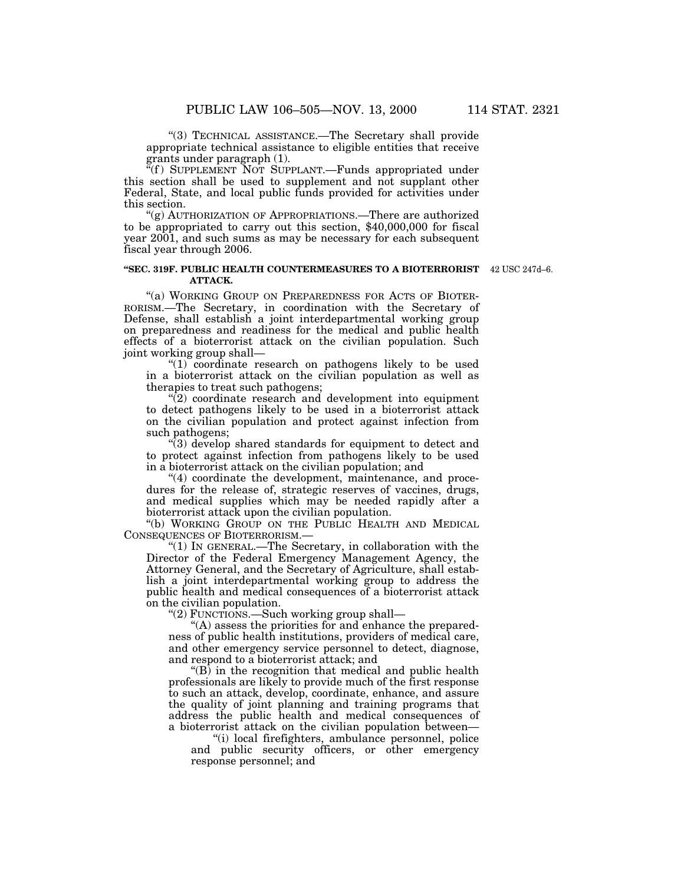''(3) TECHNICAL ASSISTANCE.—The Secretary shall provide appropriate technical assistance to eligible entities that receive grants under paragraph (1).

"(f) SUPPLEMENT NOT SUPPLANT.—Funds appropriated under this section shall be used to supplement and not supplant other Federal, State, and local public funds provided for activities under this section.

''(g) AUTHORIZATION OF APPROPRIATIONS.—There are authorized to be appropriated to carry out this section, \$40,000,000 for fiscal year 2001, and such sums as may be necessary for each subsequent fiscal year through 2006.

#### **''SEC. 319F. PUBLIC HEALTH COUNTERMEASURES TO A BIOTERRORIST** 42 USC 247d–6. **ATTACK.**

"(a) WORKING GROUP ON PREPAREDNESS FOR ACTS OF BIOTER-RORISM.—The Secretary, in coordination with the Secretary of Defense, shall establish a joint interdepartmental working group on preparedness and readiness for the medical and public health effects of a bioterrorist attack on the civilian population. Such joint working group shall—

"(1) coordinate research on pathogens likely to be used in a bioterrorist attack on the civilian population as well as therapies to treat such pathogens;

 $\sqrt{\ }$ (2) coordinate research and development into equipment to detect pathogens likely to be used in a bioterrorist attack on the civilian population and protect against infection from such pathogens;

''(3) develop shared standards for equipment to detect and to protect against infection from pathogens likely to be used in a bioterrorist attack on the civilian population; and

"(4) coordinate the development, maintenance, and procedures for the release of, strategic reserves of vaccines, drugs, and medical supplies which may be needed rapidly after a bioterrorist attack upon the civilian population.

''(b) WORKING GROUP ON THE PUBLIC HEALTH AND MEDICAL CONSEQUENCES OF BIOTERRORISM.—

''(1) IN GENERAL.—The Secretary, in collaboration with the Director of the Federal Emergency Management Agency, the Attorney General, and the Secretary of Agriculture, shall establish a joint interdepartmental working group to address the public health and medical consequences of a bioterrorist attack on the civilian population.

''(2) FUNCTIONS.—Such working group shall—

''(A) assess the priorities for and enhance the preparedness of public health institutions, providers of medical care, and other emergency service personnel to detect, diagnose, and respond to a bioterrorist attack; and

 $\mathrm{``(B)}$  in the recognition that medical and public health professionals are likely to provide much of the first response to such an attack, develop, coordinate, enhance, and assure the quality of joint planning and training programs that address the public health and medical consequences of a bioterrorist attack on the civilian population between—

''(i) local firefighters, ambulance personnel, police and public security officers, or other emergency response personnel; and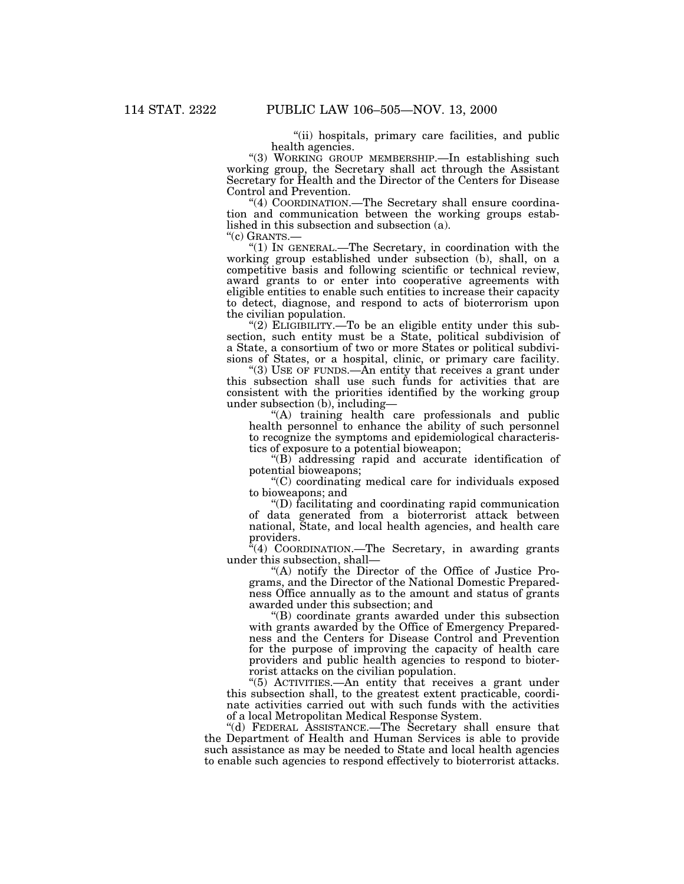''(ii) hospitals, primary care facilities, and public

"(3) WORKING GROUP MEMBERSHIP.—In establishing such working group, the Secretary shall act through the Assistant Secretary for Health and the Director of the Centers for Disease

"(4) COORDINATION.—The Secretary shall ensure coordination and communication between the working groups established in this subsection and subsection (a).<br>"(c) GRANTS.—

''(c) GRANTS.— ''(1) IN GENERAL.—The Secretary, in coordination with the working group established under subsection (b), shall, on a competitive basis and following scientific or technical review, award grants to or enter into cooperative agreements with eligible entities to enable such entities to increase their capacity to detect, diagnose, and respond to acts of bioterrorism upon

the civilian population.<br>"(2) ELIGIBILITY.—To be an eligible entity under this subsection, such entity must be a State, political subdivision of a State, a consortium of two or more States or political subdivisions of States, or a hospital, clinic, or primary care facility.

" $(3)$  USE OF FUNDS.—An entity that receives a grant under this subsection shall use such funds for activities that are consistent with the priorities identified by the working group under subsection (b), including—

''(A) training health care professionals and public health personnel to enhance the ability of such personnel to recognize the symptoms and epidemiological characteristics of exposure to a potential bioweapon;

''(B) addressing rapid and accurate identification of potential bioweapons;

''(C) coordinating medical care for individuals exposed to bioweapons; and

''(D) facilitating and coordinating rapid communication of data generated from a bioterrorist attack between national, State, and local health agencies, and health care providers.

"(4) COORDINATION.—The Secretary, in awarding grants under this subsection, shall—

"(A) notify the Director of the Office of Justice Programs, and the Director of the National Domestic Preparedness Office annually as to the amount and status of grants awarded under this subsection; and

''(B) coordinate grants awarded under this subsection with grants awarded by the Office of Emergency Preparedness and the Centers for Disease Control and Prevention for the purpose of improving the capacity of health care providers and public health agencies to respond to bioterrorist attacks on the civilian population.

''(5) ACTIVITIES.—An entity that receives a grant under this subsection shall, to the greatest extent practicable, coordinate activities carried out with such funds with the activities of a local Metropolitan Medical Response System.

''(d) FEDERAL ASSISTANCE.—The Secretary shall ensure that the Department of Health and Human Services is able to provide such assistance as may be needed to State and local health agencies to enable such agencies to respond effectively to bioterrorist attacks.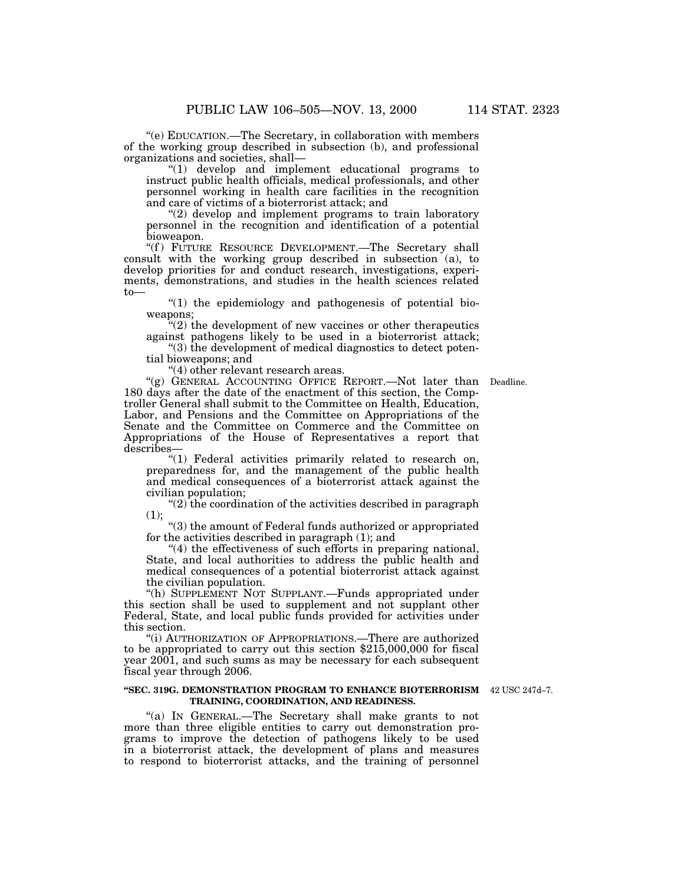''(e) EDUCATION.—The Secretary, in collaboration with members of the working group described in subsection (b), and professional

 $\degree$ (1) develop and implement educational programs to instruct public health officials, medical professionals, and other personnel working in health care facilities in the recognition and care of victims of a bioterrorist attack; and

"(2) develop and implement programs to train laboratory personnel in the recognition and identification of a potential bioweapon.

"(f) FUTURE RESOURCE DEVELOPMENT.—The Secretary shall consult with the working group described in subsection (a), to develop priorities for and conduct research, investigations, experiments, demonstrations, and studies in the health sciences related to—<br>"(1) the epidemiology and pathogenesis of potential bio-

weapons;<br>"(2) the development of new vaccines or other therapeutics against pathogens likely to be used in a bioterrorist attack; "(3) the development of medical diagnostics to detect poten-

tial bioweapons; and ''(4) other relevant research areas. ''(g) GENERAL ACCOUNTING OFFICE REPORT.—Not later than Deadline.

180 days after the date of the enactment of this section, the Comptroller General shall submit to the Committee on Health, Education, Labor, and Pensions and the Committee on Appropriations of the Senate and the Committee on Commerce and the Committee on Appropriations of the House of Representatives a report that describes—

"(1) Federal activities primarily related to research on, preparedness for, and the management of the public health and medical consequences of a bioterrorist attack against the civilian population;

''(2) the coordination of the activities described in paragraph (1);  $\cdot$  (3) the amount of Federal funds authorized or appropriated

for the activities described in paragraph (1); and

"(4) the effectiveness of such efforts in preparing national, State, and local authorities to address the public health and medical consequences of a potential bioterrorist attack against the civilian population.

''(h) SUPPLEMENT NOT SUPPLANT.—Funds appropriated under this section shall be used to supplement and not supplant other Federal, State, and local public funds provided for activities under this section.

''(i) AUTHORIZATION OF APPROPRIATIONS.—There are authorized to be appropriated to carry out this section \$215,000,000 for fiscal year 2001, and such sums as may be necessary for each subsequent fiscal year through 2006.

#### **''SEC. 319G. DEMONSTRATION PROGRAM TO ENHANCE BIOTERRORISM** 42 USC 247d–7. **TRAINING, COORDINATION, AND READINESS.**

''(a) IN GENERAL.—The Secretary shall make grants to not more than three eligible entities to carry out demonstration programs to improve the detection of pathogens likely to be used in a bioterrorist attack, the development of plans and measures to respond to bioterrorist attacks, and the training of personnel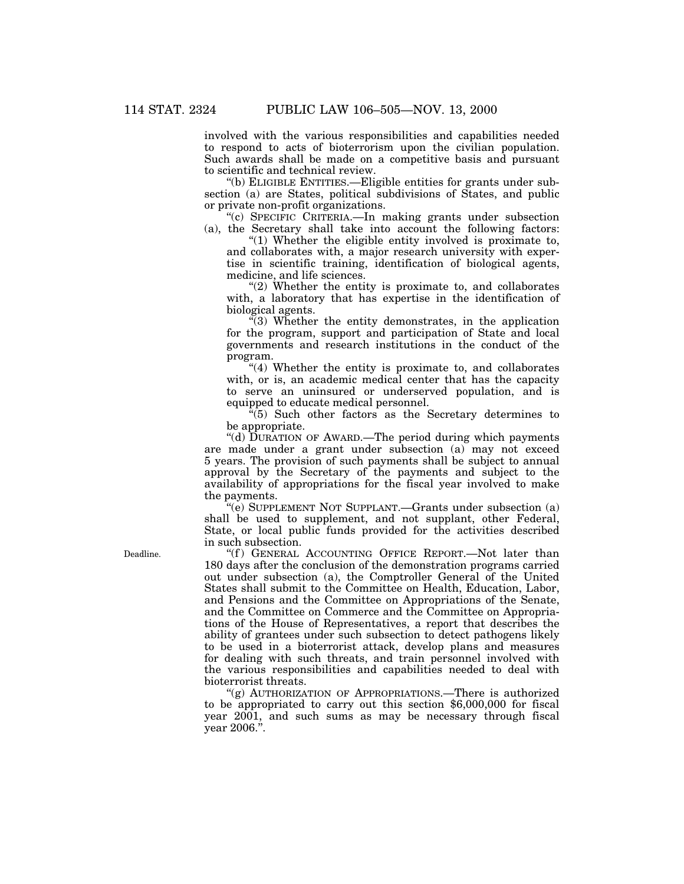involved with the various responsibilities and capabilities needed to respond to acts of bioterrorism upon the civilian population. Such awards shall be made on a competitive basis and pursuant to scientific and technical review.

''(b) ELIGIBLE ENTITIES.—Eligible entities for grants under subsection (a) are States, political subdivisions of States, and public or private non-profit organizations.

''(c) SPECIFIC CRITERIA.—In making grants under subsection (a), the Secretary shall take into account the following factors:

"(1) Whether the eligible entity involved is proximate to, and collaborates with, a major research university with expertise in scientific training, identification of biological agents, medicine, and life sciences.

 $''(2)$  Whether the entity is proximate to, and collaborates with, a laboratory that has expertise in the identification of biological agents.

''(3) Whether the entity demonstrates, in the application for the program, support and participation of State and local governments and research institutions in the conduct of the program.

''(4) Whether the entity is proximate to, and collaborates with, or is, an academic medical center that has the capacity to serve an uninsured or underserved population, and is equipped to educate medical personnel.

''(5) Such other factors as the Secretary determines to be appropriate.

''(d) DURATION OF AWARD.—The period during which payments are made under a grant under subsection (a) may not exceed 5 years. The provision of such payments shall be subject to annual approval by the Secretary of the payments and subject to the availability of appropriations for the fiscal year involved to make the payments.

(e) SUPPLEMENT NOT SUPPLANT.—Grants under subsection (a) shall be used to supplement, and not supplant, other Federal, State, or local public funds provided for the activities described in such subsection.

"(f) GENERAL ACCOUNTING OFFICE REPORT.—Not later than 180 days after the conclusion of the demonstration programs carried out under subsection (a), the Comptroller General of the United States shall submit to the Committee on Health, Education, Labor, and Pensions and the Committee on Appropriations of the Senate, and the Committee on Commerce and the Committee on Appropriations of the House of Representatives, a report that describes the ability of grantees under such subsection to detect pathogens likely to be used in a bioterrorist attack, develop plans and measures for dealing with such threats, and train personnel involved with the various responsibilities and capabilities needed to deal with bioterrorist threats.

"(g) AUTHORIZATION OF APPROPRIATIONS.—There is authorized to be appropriated to carry out this section \$6,000,000 for fiscal year 2001, and such sums as may be necessary through fiscal year 2006.''.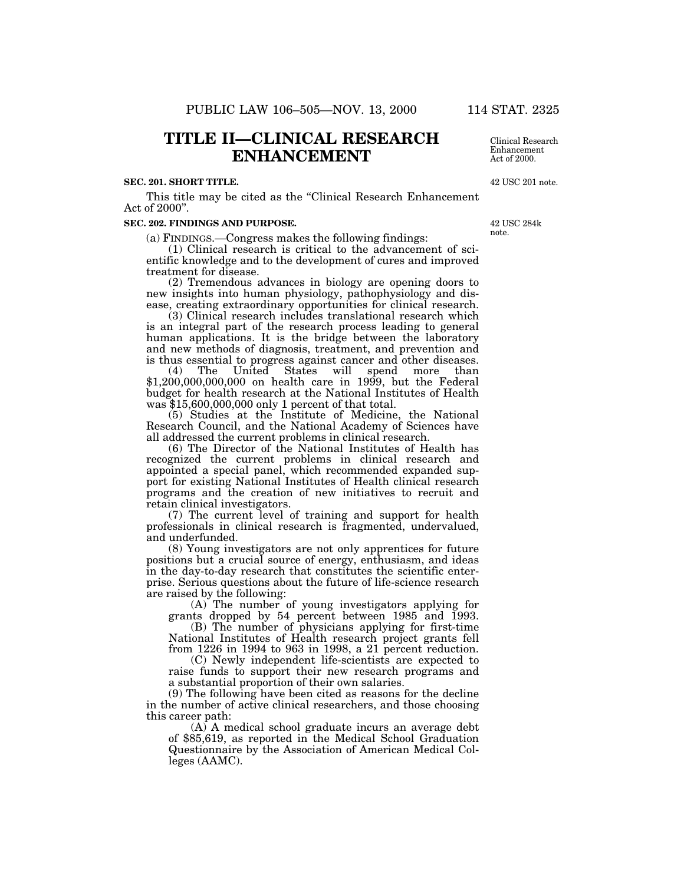# **TITLE II—CLINICAL RESEARCH ENHANCEMENT**

#### **SEC. 201. SHORT TITLE.**

This title may be cited as the ''Clinical Research Enhancement Act of 2000''.

#### **SEC. 202. FINDINGS AND PURPOSE.**

(a) FINDINGS.—Congress makes the following findings:

(1) Clinical research is critical to the advancement of scientific knowledge and to the development of cures and improved treatment for disease.

(2) Tremendous advances in biology are opening doors to new insights into human physiology, pathophysiology and disease, creating extraordinary opportunities for clinical research.

(3) Clinical research includes translational research which is an integral part of the research process leading to general human applications. It is the bridge between the laboratory and new methods of diagnosis, treatment, and prevention and is thus essential to progress against cancer and other diseases.

(4) The United States will spend more than \$1,200,000,000,000 on health care in 1999, but the Federal budget for health research at the National Institutes of Health was \$15,600,000,000 only 1 percent of that total.

(5) Studies at the Institute of Medicine, the National Research Council, and the National Academy of Sciences have all addressed the current problems in clinical research.

(6) The Director of the National Institutes of Health has recognized the current problems in clinical research and appointed a special panel, which recommended expanded support for existing National Institutes of Health clinical research programs and the creation of new initiatives to recruit and retain clinical investigators.

(7) The current level of training and support for health professionals in clinical research is fragmented, undervalued, and underfunded.

(8) Young investigators are not only apprentices for future positions but a crucial source of energy, enthusiasm, and ideas in the day-to-day research that constitutes the scientific enterprise. Serious questions about the future of life-science research are raised by the following:

(A) The number of young investigators applying for grants dropped by 54 percent between 1985 and 1993.

(B) The number of physicians applying for first-time National Institutes of Health research project grants fell from 1226 in 1994 to 963 in 1998, a 21 percent reduction.

(C) Newly independent life-scientists are expected to raise funds to support their new research programs and a substantial proportion of their own salaries.

(9) The following have been cited as reasons for the decline in the number of active clinical researchers, and those choosing this career path:

(A) A medical school graduate incurs an average debt of \$85,619, as reported in the Medical School Graduation Questionnaire by the Association of American Medical Colleges (AAMC).

Clinical Research Enhancement Act of 2000.

42 USC 201 note.

42 USC 284k note.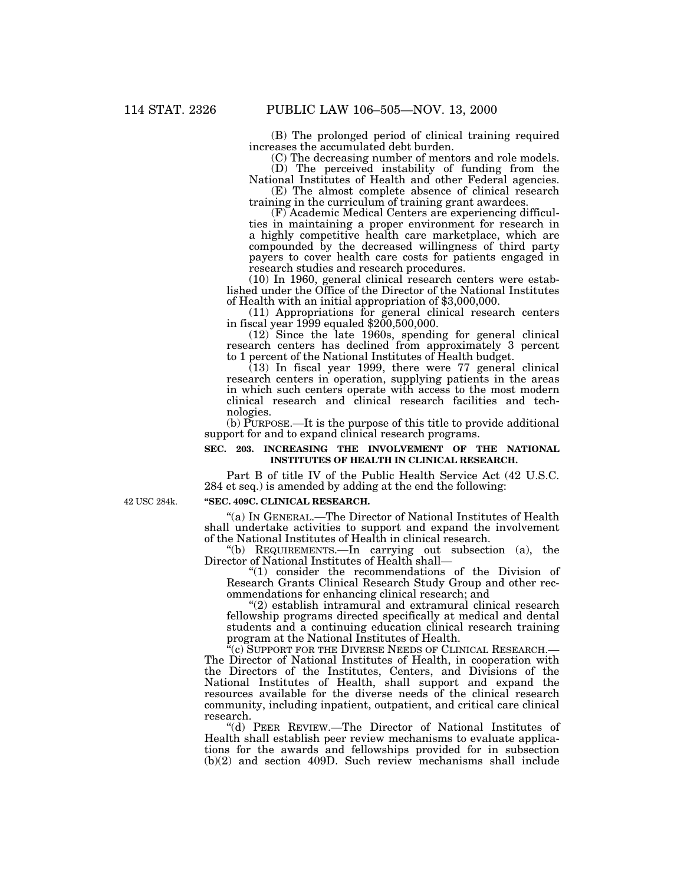(B) The prolonged period of clinical training required increases the accumulated debt burden.

(C) The decreasing number of mentors and role models. (D) The perceived instability of funding from the

National Institutes of Health and other Federal agencies. (E) The almost complete absence of clinical research

training in the curriculum of training grant awardees. (F) Academic Medical Centers are experiencing difficul-

ties in maintaining a proper environment for research in a highly competitive health care marketplace, which are compounded by the decreased willingness of third party payers to cover health care costs for patients engaged in research studies and research procedures.

(10) In 1960, general clinical research centers were established under the Office of the Director of the National Institutes of Health with an initial appropriation of \$3,000,000.

(11) Appropriations for general clinical research centers in fiscal year 1999 equaled \$200,500,000.

(12) Since the late 1960s, spending for general clinical research centers has declined from approximately 3 percent to 1 percent of the National Institutes of Health budget.

 $(13)$  In fiscal year 1999, there were 77 general clinical research centers in operation, supplying patients in the areas in which such centers operate with access to the most modern clinical research and clinical research facilities and technologies.

(b) PURPOSE.—It is the purpose of this title to provide additional support for and to expand clinical research programs.

### **SEC. 203. INCREASING THE INVOLVEMENT OF THE NATIONAL INSTITUTES OF HEALTH IN CLINICAL RESEARCH.**

Part B of title IV of the Public Health Service Act (42 U.S.C. 284 et seq.) is amended by adding at the end the following:

42 USC 284k.

#### **''SEC. 409C. CLINICAL RESEARCH.**

''(a) IN GENERAL.—The Director of National Institutes of Health shall undertake activities to support and expand the involvement

"(b) REQUIREMENTS.—In carrying out subsection (a), the Director of National Institutes of Health shall— Director of National Institutes of Health shall—<br>"(1) consider the recommendations of the Division of

Research Grants Clinical Research Study Group and other recommendations for enhancing clinical research; and  $(2)$  establish intramural and extramural clinical research

fellowship programs directed specifically at medical and dental students and a continuing education clinical research training program at the National Institutes of Health.<br>"(c) SUPPORT FOR THE DIVERSE NEEDS OF CLINICAL RESEARCH.-

The Director of National Institutes of Health, in cooperation with the Directors of the Institutes, Centers, and Divisions of the National Institutes of Health, shall support and expand the resources available for the diverse needs of the clinical research community, including inpatient, outpatient, and critical care clinical research.

''(d) PEER REVIEW.—The Director of National Institutes of Health shall establish peer review mechanisms to evaluate applications for the awards and fellowships provided for in subsection (b)(2) and section 409D. Such review mechanisms shall include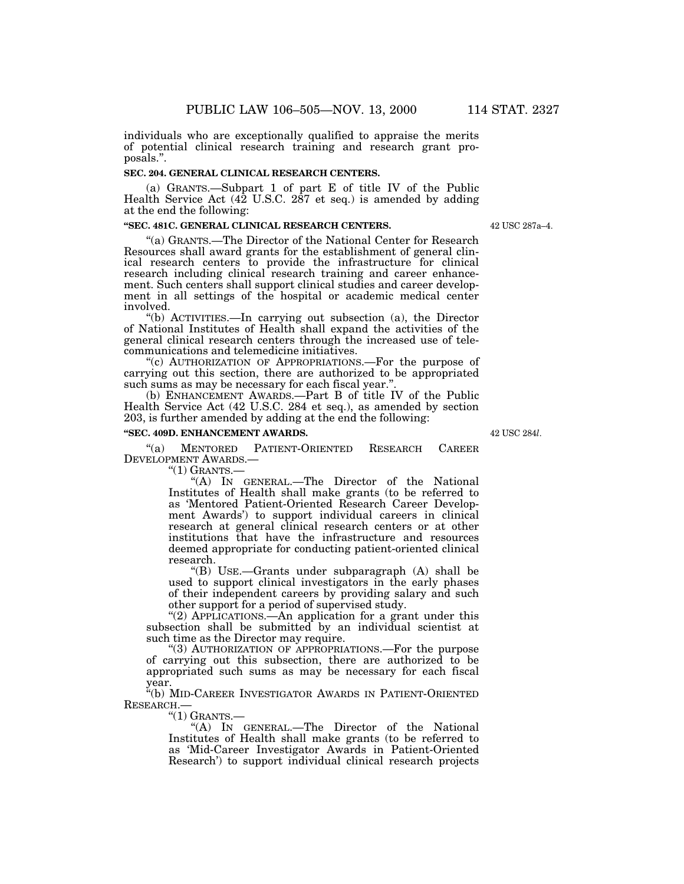individuals who are exceptionally qualified to appraise the merits of potential clinical research training and research grant proposals.''.

#### **SEC. 204. GENERAL CLINICAL RESEARCH CENTERS.**

(a) GRANTS.—Subpart 1 of part E of title IV of the Public Health Service Act (42 U.S.C. 287 et seq.) is amended by adding at the end the following:

### **''SEC. 481C. GENERAL CLINICAL RESEARCH CENTERS.**

''(a) GRANTS.—The Director of the National Center for Research Resources shall award grants for the establishment of general clinical research centers to provide the infrastructure for clinical research including clinical research training and career enhancement. Such centers shall support clinical studies and career development in all settings of the hospital or academic medical center

"(b) ACTIVITIES.—In carrying out subsection (a), the Director of National Institutes of Health shall expand the activities of the general clinical research centers through the increased use of telecommunications and telemedicine initiatives.

"(c) AUTHORIZATION OF APPROPRIATIONS.—For the purpose of carrying out this section, there are authorized to be appropriated such sums as may be necessary for each fiscal year.''.

(b) ENHANCEMENT AWARDS.—Part B of title IV of the Public Health Service Act (42 U.S.C. 284 et seq.), as amended by section 203, is further amended by adding at the end the following:

#### **''SEC. 409D. ENHANCEMENT AWARDS.**

''(a) MENTORED PATIENT-ORIENTED RESEARCH CAREER DEVELOPMENT AWARDS.—

 $"(1)$  GRANTS. $-$ 

''(A) IN GENERAL.—The Director of the National Institutes of Health shall make grants (to be referred to as 'Mentored Patient-Oriented Research Career Development Awards') to support individual careers in clinical research at general clinical research centers or at other institutions that have the infrastructure and resources deemed appropriate for conducting patient-oriented clinical research.

''(B) USE.—Grants under subparagraph (A) shall be used to support clinical investigators in the early phases of their independent careers by providing salary and such other support for a period of supervised study.

"(2) APPLICATIONS.—An application for a grant under this subsection shall be submitted by an individual scientist at such time as the Director may require.

''(3) AUTHORIZATION OF APPROPRIATIONS.—For the purpose of carrying out this subsection, there are authorized to be appropriated such sums as may be necessary for each fiscal year.

''(b) MID-CAREER INVESTIGATOR AWARDS IN PATIENT-ORIENTED RESEARCH.—

 $"(1)$  GRANTS.—

''(A) IN GENERAL.—The Director of the National Institutes of Health shall make grants (to be referred to as 'Mid-Career Investigator Awards in Patient-Oriented Research') to support individual clinical research projects

42 USC 284*l*.

42 USC 287a–4.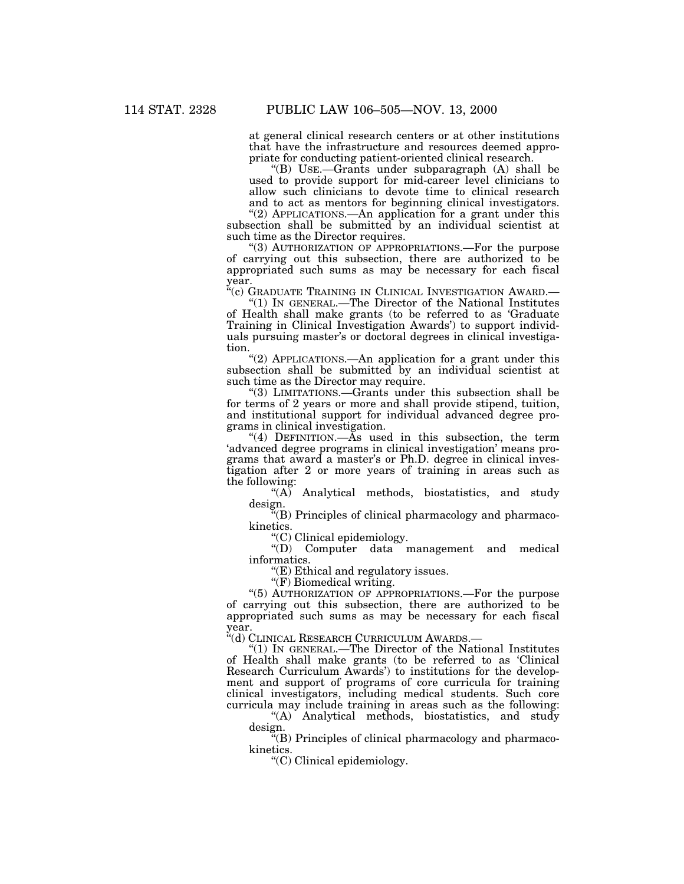at general clinical research centers or at other institutions that have the infrastructure and resources deemed appropriate for conducting patient-oriented clinical research.

"(B) USE.—Grants under subparagraph (A) shall be used to provide support for mid-career level clinicians to allow such clinicians to devote time to clinical research and to act as mentors for beginning clinical investigators.

"(2) APPLICATIONS.—An application for a grant under this subsection shall be submitted by an individual scientist at such time as the Director requires.

"(3) AUTHORIZATION OF APPROPRIATIONS.—For the purpose of carrying out this subsection, there are authorized to be appropriated such sums as may be necessary for each fiscal year.

''(c) GRADUATE TRAINING IN CLINICAL INVESTIGATION AWARD.— ''(1) IN GENERAL.—The Director of the National Institutes

of Health shall make grants (to be referred to as 'Graduate Training in Clinical Investigation Awards') to support individuals pursuing master's or doctoral degrees in clinical investiga-

" $(2)$  APPLICATIONS.—An application for a grant under this subsection shall be submitted by an individual scientist at such time as the Director may require.

''(3) LIMITATIONS.—Grants under this subsection shall be for terms of 2 years or more and shall provide stipend, tuition, and institutional support for individual advanced degree programs in clinical investigation.

''(4) DEFINITION.—As used in this subsection, the term 'advanced degree programs in clinical investigation' means programs that award a master's or Ph.D. degree in clinical investigation after 2 or more years of training in areas such as the following:

"(A) Analytical methods, biostatistics, and study design.

''(B) Principles of clinical pharmacology and pharmacokinetics.

''(C) Clinical epidemiology.

''(D) Computer data management and medical informatics.

''(E) Ethical and regulatory issues.

"(F) Biomedical writing.

''(5) AUTHORIZATION OF APPROPRIATIONS.—For the purpose of carrying out this subsection, there are authorized to be appropriated such sums as may be necessary for each fiscal year.

''(d) CLINICAL RESEARCH CURRICULUM AWARDS.—

''(1) IN GENERAL.—The Director of the National Institutes of Health shall make grants (to be referred to as 'Clinical Research Curriculum Awards') to institutions for the development and support of programs of core curricula for training clinical investigators, including medical students. Such core curricula may include training in areas such as the following:

''(A) Analytical methods, biostatistics, and study design.

 $\mathbb{F}(B)$  Principles of clinical pharmacology and pharmacokinetics.

''(C) Clinical epidemiology.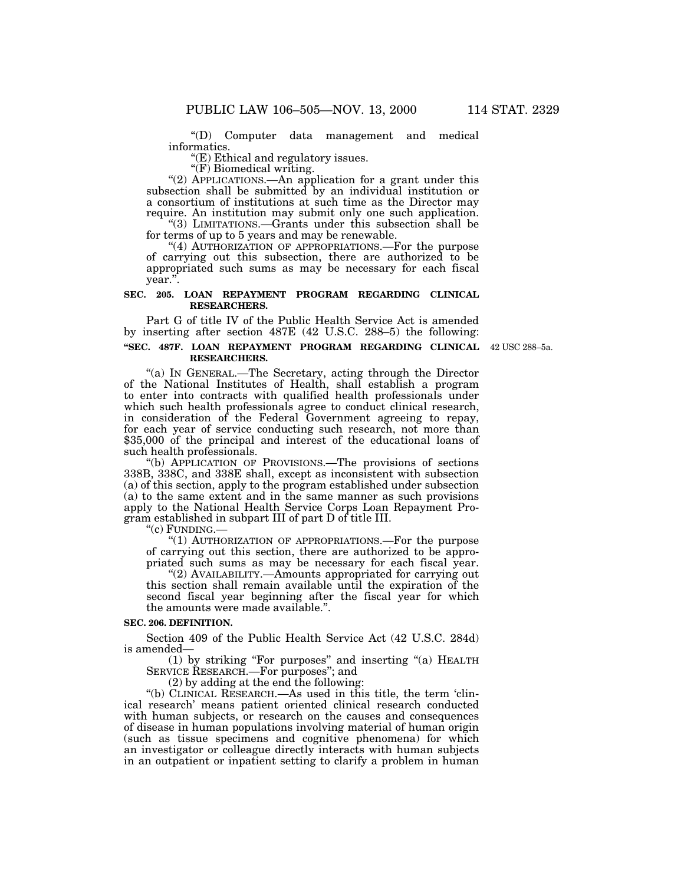''(D) Computer data management and medical

 $\degree$ (E) Ethical and regulatory issues.<br> $\degree$ (F) Biomedical writing.

"(2) APPLICATIONS.—An application for a grant under this subsection shall be submitted by an individual institution or a consortium of institutions at such time as the Director may

require. An institution may submit only one such application. "(3) LIMITATIONS.—Grants under this subsection shall be for terms of up to 5 years and may be renewable.

"(4) AUTHORIZATION OF APPROPRIATIONS.—For the purpose of carrying out this subsection, there are authorized to be appropriated such sums as may be necessary for each fiscal year.''.

#### **SEC. 205. LOAN REPAYMENT PROGRAM REGARDING CLINICAL RESEARCHERS.**

Part G of title IV of the Public Health Service Act is amended by inserting after section 487E (42 U.S.C. 288–5) the following:

#### **''SEC. 487F. LOAN REPAYMENT PROGRAM REGARDING CLINICAL** 42 USC 288–5a. **RESEARCHERS.**

''(a) IN GENERAL.—The Secretary, acting through the Director of the National Institutes of Health, shall establish a program to enter into contracts with qualified health professionals under which such health professionals agree to conduct clinical research, in consideration of the Federal Government agreeing to repay, for each year of service conducting such research, not more than \$35,000 of the principal and interest of the educational loans of such health professionals.

''(b) APPLICATION OF PROVISIONS.—The provisions of sections 338B, 338C, and 338E shall, except as inconsistent with subsection (a) of this section, apply to the program established under subsection (a) to the same extent and in the same manner as such provisions apply to the National Health Service Corps Loan Repayment Program established in subpart III of part D of title III.

"(c) FUNDING.—<br>"(1) AUTHORIZATION OF APPROPRIATIONS.—For the purpose of carrying out this section, there are authorized to be appropriated such sums as may be necessary for each fiscal year. "(2) AVAILABILITY.—Amounts appropriated for carrying out

this section shall remain available until the expiration of the second fiscal year beginning after the fiscal year for which the amounts were made available.''.

#### **SEC. 206. DEFINITION.**

Section 409 of the Public Health Service Act (42 U.S.C. 284d) is amended—

(1) by striking ''For purposes'' and inserting ''(a) HEALTH SERVICE RESEARCH.—For purposes''; and

(2) by adding at the end the following:

''(b) CLINICAL RESEARCH.—As used in this title, the term 'clinical research' means patient oriented clinical research conducted with human subjects, or research on the causes and consequences of disease in human populations involving material of human origin (such as tissue specimens and cognitive phenomena) for which an investigator or colleague directly interacts with human subjects in an outpatient or inpatient setting to clarify a problem in human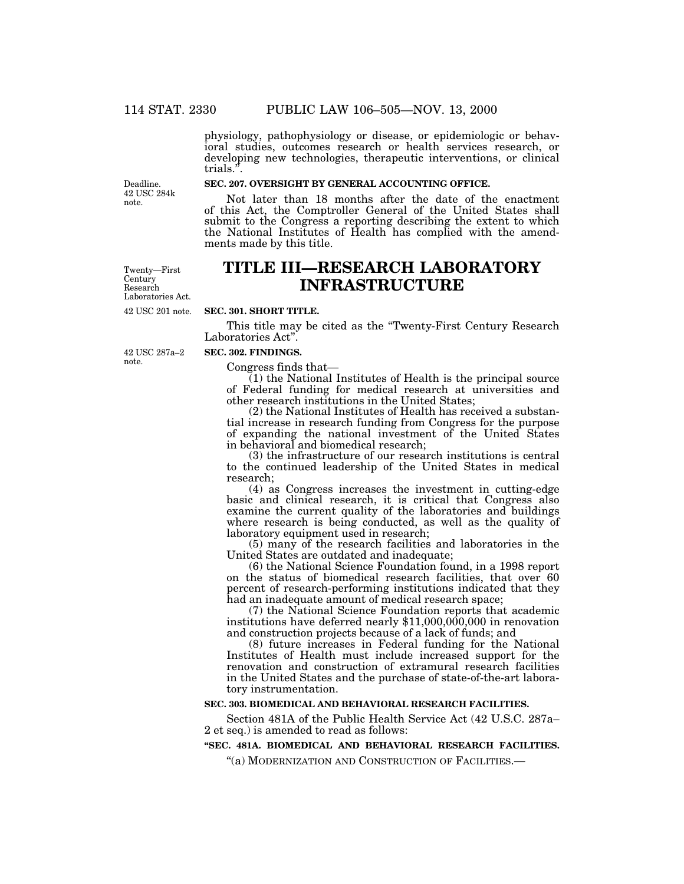physiology, pathophysiology or disease, or epidemiologic or behavioral studies, outcomes research or health services research, or developing new technologies, therapeutic interventions, or clinical trials."

Deadline. 42 USC 284k note.

### **SEC. 207. OVERSIGHT BY GENERAL ACCOUNTING OFFICE.**

Not later than 18 months after the date of the enactment of this Act, the Comptroller General of the United States shall submit to the Congress a reporting describing the extent to which the National Institutes of Health has complied with the amendments made by this title.

**TITLE III—RESEARCH LABORATORY INFRASTRUCTURE**

42 USC 201 note. Twenty—First **Century** Research Laboratories Act.

# **SEC. 301. SHORT TITLE.**

This title may be cited as the ''Twenty-First Century Research Laboratories Act''.

note.

#### **SEC. 302. FINDINGS.**

Congress finds that— (1) the National Institutes of Health is the principal source of Federal funding for medical research at universities and other research institutions in the United States;

(2) the National Institutes of Health has received a substantial increase in research funding from Congress for the purpose of expanding the national investment of the United States in behavioral and biomedical research;

(3) the infrastructure of our research institutions is central to the continued leadership of the United States in medical research;

(4) as Congress increases the investment in cutting-edge basic and clinical research, it is critical that Congress also examine the current quality of the laboratories and buildings where research is being conducted, as well as the quality of laboratory equipment used in research;

(5) many of the research facilities and laboratories in the United States are outdated and inadequate;

(6) the National Science Foundation found, in a 1998 report on the status of biomedical research facilities, that over 60 percent of research-performing institutions indicated that they had an inadequate amount of medical research space;

(7) the National Science Foundation reports that academic institutions have deferred nearly \$11,000,000,000 in renovation and construction projects because of a lack of funds; and

(8) future increases in Federal funding for the National Institutes of Health must include increased support for the renovation and construction of extramural research facilities in the United States and the purchase of state-of-the-art laboratory instrumentation.

#### **SEC. 303. BIOMEDICAL AND BEHAVIORAL RESEARCH FACILITIES.**

Section 481A of the Public Health Service Act (42 U.S.C. 287a– 2 et seq.) is amended to read as follows:

#### **''SEC. 481A. BIOMEDICAL AND BEHAVIORAL RESEARCH FACILITIES.**

''(a) MODERNIZATION AND CONSTRUCTION OF FACILITIES.—

42 USC 287a–2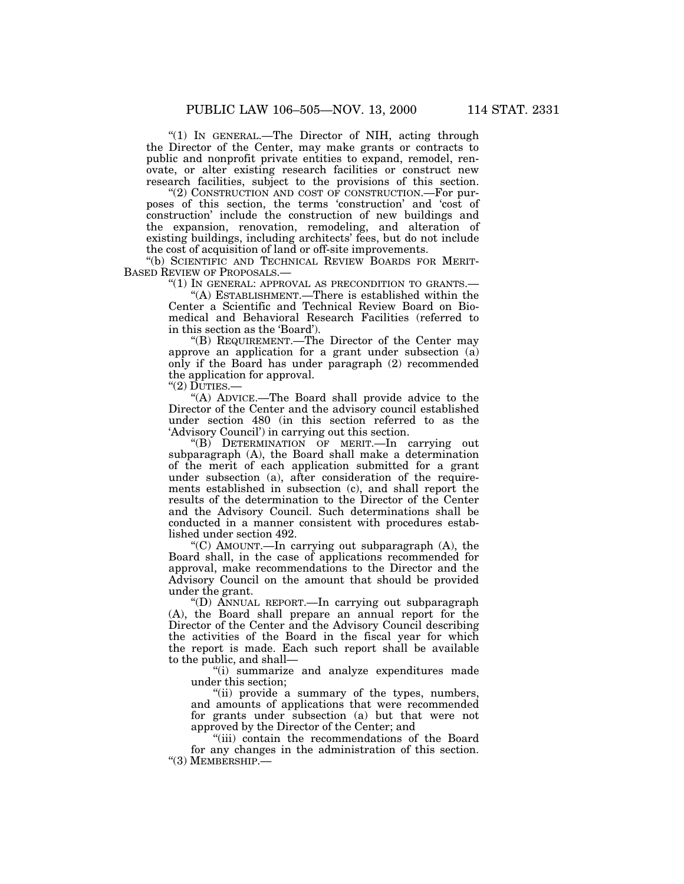"(1) IN GENERAL.—The Director of NIH, acting through the Director of the Center, may make grants or contracts to public and nonprofit private entities to expand, remodel, renovate, or alter existing research facilities or construct new research facilities, subject to the provisions of this section.

"(2) CONSTRUCTION AND COST OF CONSTRUCTION.—For purposes of this section, the terms 'construction' and 'cost of construction' include the construction of new buildings and the expansion, renovation, remodeling, and alteration of existing buildings, including architects' fees, but do not include the cost of acquisition of land or off-site improvements.

''(b) SCIENTIFIC AND TECHNICAL REVIEW BOARDS FOR MERIT-BASED REVIEW OF PROPOSALS.—

''(1) IN GENERAL: APPROVAL AS PRECONDITION TO GRANTS.—

''(A) ESTABLISHMENT.—There is established within the Center a Scientific and Technical Review Board on Biomedical and Behavioral Research Facilities (referred to in this section as the 'Board').

''(B) REQUIREMENT.—The Director of the Center may approve an application for a grant under subsection (a) only if the Board has under paragraph (2) recommended the application for approval.

 $"(2)$  DUTIES.-

''(A) ADVICE.—The Board shall provide advice to the Director of the Center and the advisory council established under section 480 (in this section referred to as the 'Advisory Council') in carrying out this section.

''(B) DETERMINATION OF MERIT.—In carrying out subparagraph (A), the Board shall make a determination of the merit of each application submitted for a grant under subsection (a), after consideration of the requirements established in subsection (c), and shall report the results of the determination to the Director of the Center and the Advisory Council. Such determinations shall be conducted in a manner consistent with procedures established under section 492.

" $(C)$  AMOUNT.—In carrying out subparagraph  $(A)$ , the Board shall, in the case of applications recommended for approval, make recommendations to the Director and the Advisory Council on the amount that should be provided under the grant.

''(D) ANNUAL REPORT.—In carrying out subparagraph (A), the Board shall prepare an annual report for the Director of the Center and the Advisory Council describing the activities of the Board in the fiscal year for which the report is made. Each such report shall be available to the public, and shall—

''(i) summarize and analyze expenditures made under this section;

"(ii) provide a summary of the types, numbers, and amounts of applications that were recommended for grants under subsection (a) but that were not approved by the Director of the Center; and

''(iii) contain the recommendations of the Board for any changes in the administration of this section. ''(3) MEMBERSHIP.—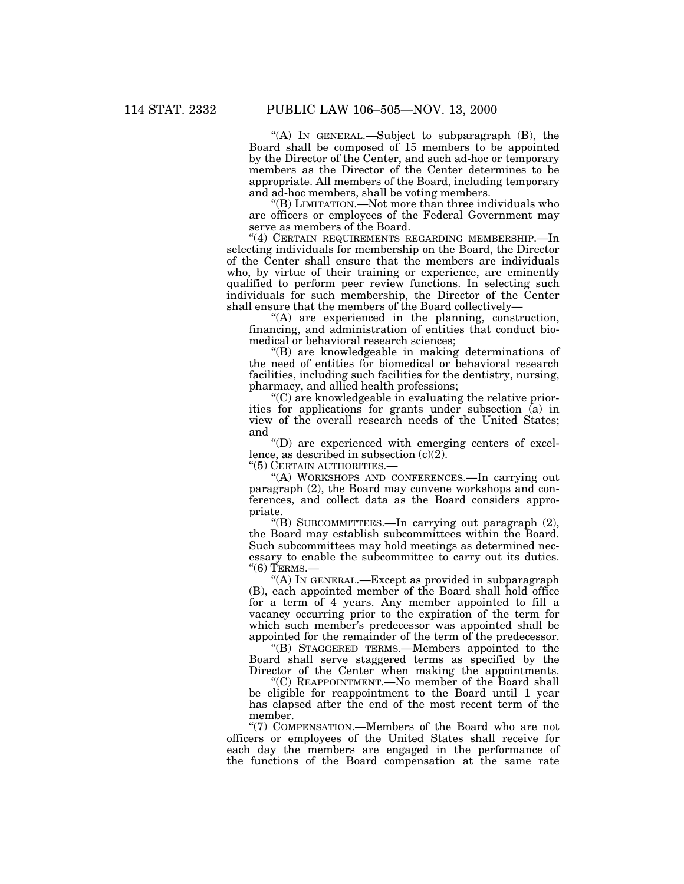''(A) IN GENERAL.—Subject to subparagraph (B), the Board shall be composed of 15 members to be appointed by the Director of the Center, and such ad-hoc or temporary members as the Director of the Center determines to be appropriate. All members of the Board, including temporary and ad-hoc members, shall be voting members.

''(B) LIMITATION.—Not more than three individuals who are officers or employees of the Federal Government may serve as members of the Board.

''(4) CERTAIN REQUIREMENTS REGARDING MEMBERSHIP.—In selecting individuals for membership on the Board, the Director of the Center shall ensure that the members are individuals who, by virtue of their training or experience, are eminently qualified to perform peer review functions. In selecting such individuals for such membership, the Director of the Center shall ensure that the members of the Board collectively—

''(A) are experienced in the planning, construction, financing, and administration of entities that conduct biomedical or behavioral research sciences;

''(B) are knowledgeable in making determinations of the need of entities for biomedical or behavioral research facilities, including such facilities for the dentistry, nursing, pharmacy, and allied health professions;

''(C) are knowledgeable in evaluating the relative priorities for applications for grants under subsection (a) in view of the overall research needs of the United States; and

''(D) are experienced with emerging centers of excellence, as described in subsection  $(c)(2)$ .

''(5) CERTAIN AUTHORITIES.—

''(A) WORKSHOPS AND CONFERENCES.—In carrying out paragraph (2), the Board may convene workshops and conferences, and collect data as the Board considers appropriate.

''(B) SUBCOMMITTEES.—In carrying out paragraph (2), the Board may establish subcommittees within the Board. Such subcommittees may hold meetings as determined necessary to enable the subcommittee to carry out its duties. " $(6)$  TERMS.-

''(A) IN GENERAL.—Except as provided in subparagraph (B), each appointed member of the Board shall hold office for a term of 4 years. Any member appointed to fill a vacancy occurring prior to the expiration of the term for which such member's predecessor was appointed shall be appointed for the remainder of the term of the predecessor.

''(B) STAGGERED TERMS.—Members appointed to the Board shall serve staggered terms as specified by the Director of the Center when making the appointments.

''(C) REAPPOINTMENT.—No member of the Board shall be eligible for reappointment to the Board until 1 year has elapsed after the end of the most recent term of the member.

''(7) COMPENSATION.—Members of the Board who are not officers or employees of the United States shall receive for each day the members are engaged in the performance of the functions of the Board compensation at the same rate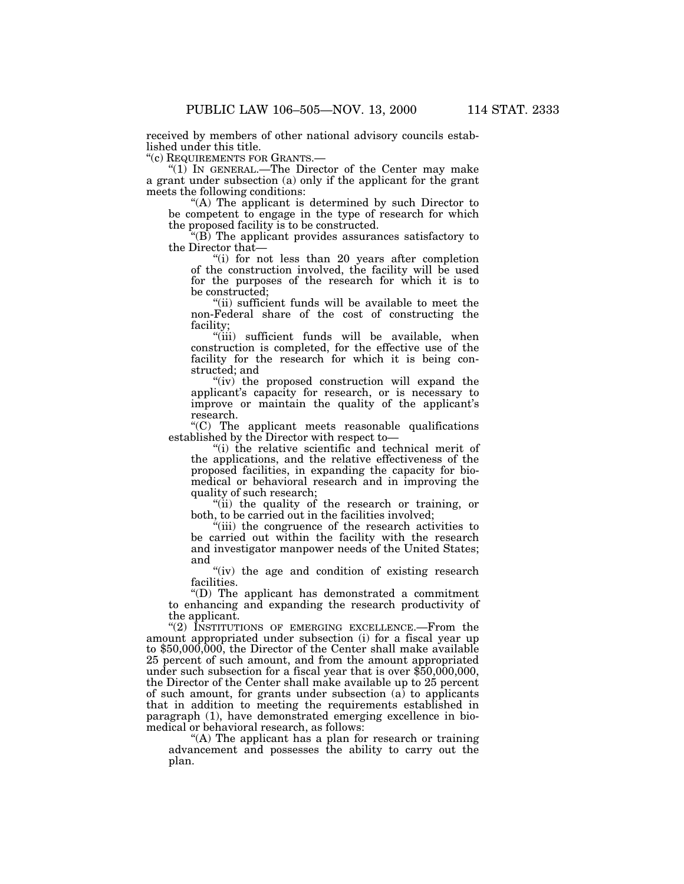received by members of other national advisory councils established under this title.

''(c) REQUIREMENTS FOR GRANTS.—

"(1) IN GENERAL.—The Director of the Center may make a grant under subsection (a) only if the applicant for the grant

"(A) The applicant is determined by such Director to be competent to engage in the type of research for which the proposed facility is to be constructed.

 $\text{``(B)}$  The applicant provides assurances satisfactory to the Director that—

 $t''(i)$  for not less than 20 years after completion of the construction involved, the facility will be used for the purposes of the research for which it is to be constructed;<br>"(ii) sufficient funds will be available to meet the

non-Federal share of the cost of constructing the

"(iii) sufficient funds will be available, when construction is completed, for the effective use of the facility for the research for which it is being constructed; and<br>"(iv) the proposed construction will expand the

applicant's capacity for research, or is necessary to improve or maintain the quality of the applicant's research.

''(C) The applicant meets reasonable qualifications established by the Director with respect to—

"(i) the relative scientific and technical merit of the applications, and the relative effectiveness of the proposed facilities, in expanding the capacity for biomedical or behavioral research and in improving the quality of such research;

"(ii) the quality of the research or training, or both, to be carried out in the facilities involved;

"(iii) the congruence of the research activities to be carried out within the facility with the research and investigator manpower needs of the United States; and

"(iv) the age and condition of existing research facilities.

''(D) The applicant has demonstrated a commitment to enhancing and expanding the research productivity of the applicant.

"(2) INSTITUTIONS OF EMERGING EXCELLENCE.—From the amount appropriated under subsection (i) for a fiscal year up to \$50,000,000, the Director of the Center shall make available 25 percent of such amount, and from the amount appropriated under such subsection for a fiscal year that is over \$50,000,000, the Director of the Center shall make available up to 25 percent of such amount, for grants under subsection (a) to applicants that in addition to meeting the requirements established in paragraph (1), have demonstrated emerging excellence in biomedical or behavioral research, as follows:

"(A) The applicant has a plan for research or training" advancement and possesses the ability to carry out the plan.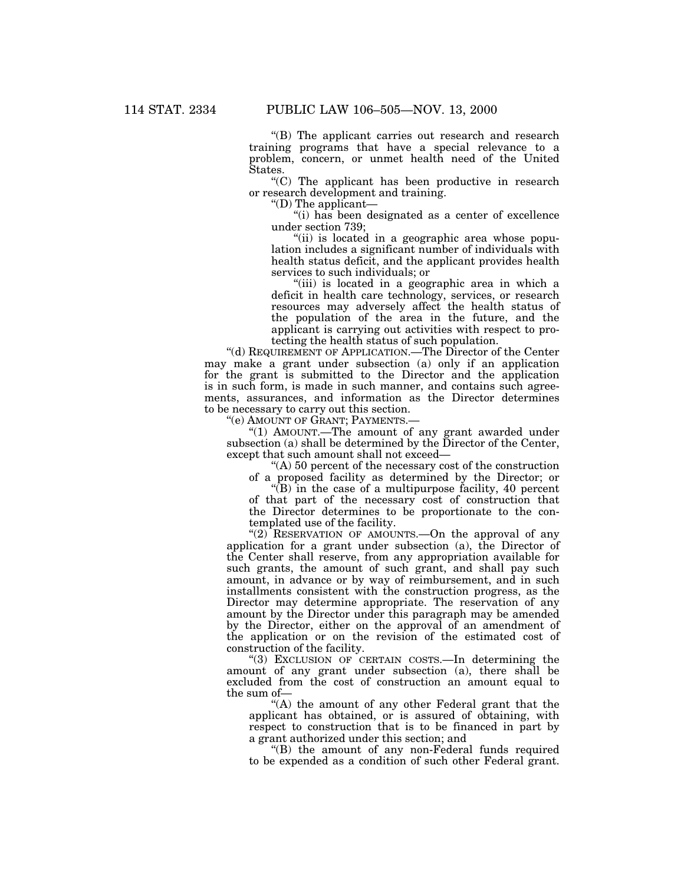''(B) The applicant carries out research and research training programs that have a special relevance to a problem, concern, or unmet health need of the United States.

''(C) The applicant has been productive in research or research development and training.

''(D) The applicant—

"(i) has been designated as a center of excellence" under section 739;

''(ii) is located in a geographic area whose population includes a significant number of individuals with health status deficit, and the applicant provides health services to such individuals; or

"(iii) is located in a geographic area in which a deficit in health care technology, services, or research resources may adversely affect the health status of the population of the area in the future, and the applicant is carrying out activities with respect to protecting the health status of such population.

''(d) REQUIREMENT OF APPLICATION.—The Director of the Center may make a grant under subsection (a) only if an application for the grant is submitted to the Director and the application is in such form, is made in such manner, and contains such agreements, assurances, and information as the Director determines to be necessary to carry out this section.

''(e) AMOUNT OF GRANT; PAYMENTS.—

''(1) AMOUNT.—The amount of any grant awarded under subsection (a) shall be determined by the Director of the Center, except that such amount shall not exceed—

''(A) 50 percent of the necessary cost of the construction of a proposed facility as determined by the Director; or

''(B) in the case of a multipurpose facility, 40 percent of that part of the necessary cost of construction that the Director determines to be proportionate to the contemplated use of the facility.

"(2) RESERVATION OF AMOUNTS.—On the approval of any application for a grant under subsection (a), the Director of the Center shall reserve, from any appropriation available for such grants, the amount of such grant, and shall pay such amount, in advance or by way of reimbursement, and in such installments consistent with the construction progress, as the Director may determine appropriate. The reservation of any amount by the Director under this paragraph may be amended by the Director, either on the approval of an amendment of the application or on the revision of the estimated cost of construction of the facility.

''(3) EXCLUSION OF CERTAIN COSTS.—In determining the amount of any grant under subsection (a), there shall be excluded from the cost of construction an amount equal to the sum of—

"(A) the amount of any other Federal grant that the applicant has obtained, or is assured of obtaining, with respect to construction that is to be financed in part by a grant authorized under this section; and

''(B) the amount of any non-Federal funds required to be expended as a condition of such other Federal grant.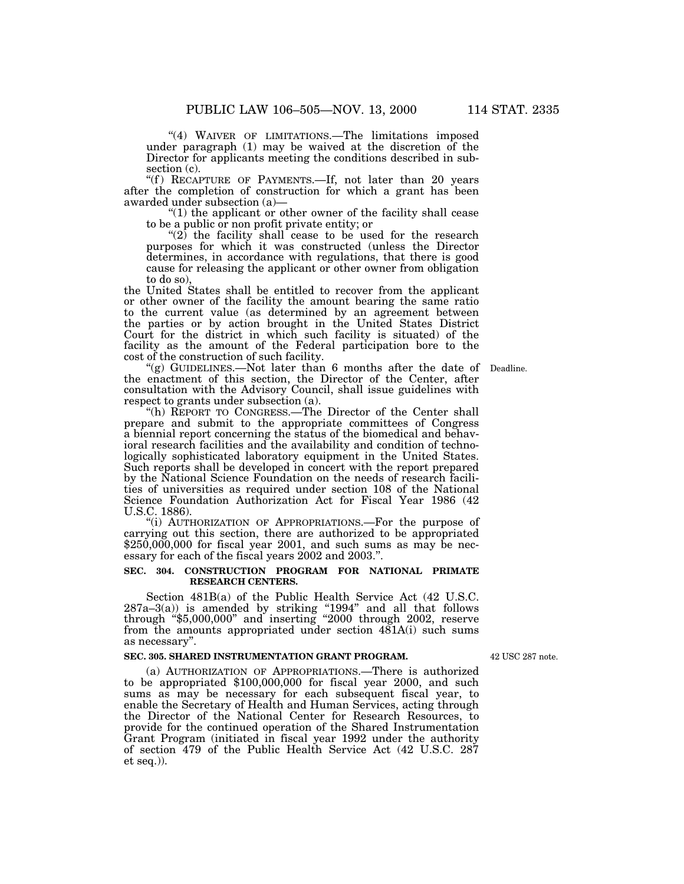"(4) WAIVER OF LIMITATIONS.—The limitations imposed under paragraph (1) may be waived at the discretion of the Director for applicants meeting the conditions described in subsection (c).

"(f) RECAPTURE OF PAYMENTS.—If, not later than 20 years after the completion of construction for which a grant has been

awarded under subsection (a)—<br>
"(1) the applicant or other owner of the facility shall cease<br>
to be a public or non profit private entity; or

to be a public or non profit private entity; or  $(2)$  the facility shall cease to be used for the research purposes for which it was constructed (unless the Director determines, in accordance with regulations, that there is good cause for releasing the applicant or other owner from obligation to do so),

the United States shall be entitled to recover from the applicant or other owner of the facility the amount bearing the same ratio to the current value (as determined by an agreement between the parties or by action brought in the United States District Court for the district in which such facility is situated) of the facility as the amount of the Federal participation bore to the

cost of the construction of such facility. ''(g) GUIDELINES.—Not later than 6 months after the date of Deadline. the enactment of this section, the Director of the Center, after consultation with the Advisory Council, shall issue guidelines with

respect to grants under subsection (a).<br>"(h) REPORT TO CONGRESS.—The Director of the Center shall prepare and submit to the appropriate committees of Congress a biennial report concerning the status of the biomedical and behavioral research facilities and the availability and condition of technologically sophisticated laboratory equipment in the United States. Such reports shall be developed in concert with the report prepared by the National Science Foundation on the needs of research facilities of universities as required under section 108 of the National Science Foundation Authorization Act for Fiscal Year 1986 (42

U.S.C. 1886).<br>"(i) AUTHORIZATION OF APPROPRIATIONS.—For the purpose of carrying out this section, there are authorized to be appropriated  $$250,000,000$  for fiscal year 2001, and such sums as may be necessary for each of the fiscal years 2002 and 2003.''.

#### **SEC. 304. CONSTRUCTION PROGRAM FOR NATIONAL PRIMATE RESEARCH CENTERS.**

Section 481B(a) of the Public Health Service Act (42 U.S.C.  $287a-3(a)$ ) is amended by striking "1994" and all that follows through ''\$5,000,000'' and inserting ''2000 through 2002, reserve from the amounts appropriated under section 481A(i) such sums as necessary''.

#### **SEC. 305. SHARED INSTRUMENTATION GRANT PROGRAM.**

42 USC 287 note.

(a) AUTHORIZATION OF APPROPRIATIONS.—There is authorized to be appropriated \$100,000,000 for fiscal year 2000, and such sums as may be necessary for each subsequent fiscal year, to enable the Secretary of Health and Human Services, acting through the Director of the National Center for Research Resources, to provide for the continued operation of the Shared Instrumentation Grant Program (initiated in fiscal year 1992 under the authority of section 479 of the Public Health Service Act (42 U.S.C. 287 et seq.)).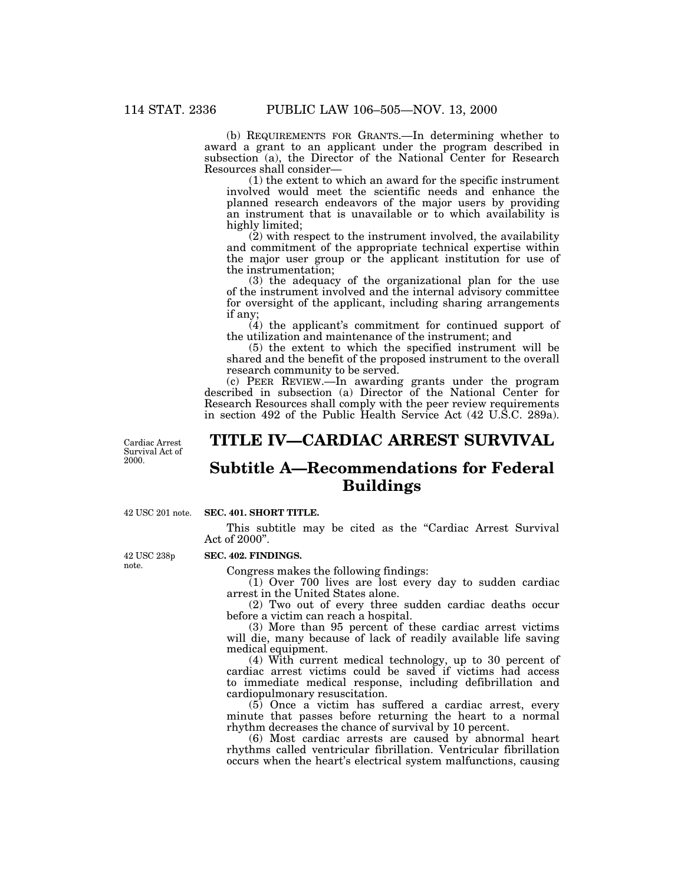(b) REQUIREMENTS FOR GRANTS.—In determining whether to award a grant to an applicant under the program described in subsection (a), the Director of the National Center for Research Resources shall consider—

(1) the extent to which an award for the specific instrument involved would meet the scientific needs and enhance the planned research endeavors of the major users by providing an instrument that is unavailable or to which availability is highly limited;

(2) with respect to the instrument involved, the availability and commitment of the appropriate technical expertise within the major user group or the applicant institution for use of the instrumentation;

(3) the adequacy of the organizational plan for the use of the instrument involved and the internal advisory committee for oversight of the applicant, including sharing arrangements if any;

(4) the applicant's commitment for continued support of the utilization and maintenance of the instrument; and

(5) the extent to which the specified instrument will be shared and the benefit of the proposed instrument to the overall research community to be served.

(c) PEER REVIEW.—In awarding grants under the program described in subsection (a) Director of the National Center for Research Resources shall comply with the peer review requirements in section 492 of the Public Health Service Act (42 U.S.C. 289a).

Cardiac Arrest Survival Act of 2000.

# **TITLE IV—CARDIAC ARREST SURVIVAL**

# **Subtitle A—Recommendations for Federal**

**Buildings**

42 USC 201 note.

### **SEC. 401. SHORT TITLE.**

This subtitle may be cited as the "Cardiac Arrest Survival" Act of 2000''.

#### **SEC. 402. FINDINGS.**

Congress makes the following findings:

 $(1)$  Over 700 lives are lost every day to sudden cardiac arrest in the United States alone.

(2) Two out of every three sudden cardiac deaths occur before a victim can reach a hospital.

(3) More than 95 percent of these cardiac arrest victims will die, many because of lack of readily available life saving medical equipment.

(4) With current medical technology, up to 30 percent of cardiac arrest victims could be saved if victims had access to immediate medical response, including defibrillation and cardiopulmonary resuscitation.

(5) Once a victim has suffered a cardiac arrest, every minute that passes before returning the heart to a normal rhythm decreases the chance of survival by 10 percent.

(6) Most cardiac arrests are caused by abnormal heart rhythms called ventricular fibrillation. Ventricular fibrillation occurs when the heart's electrical system malfunctions, causing

42 USC 238p note.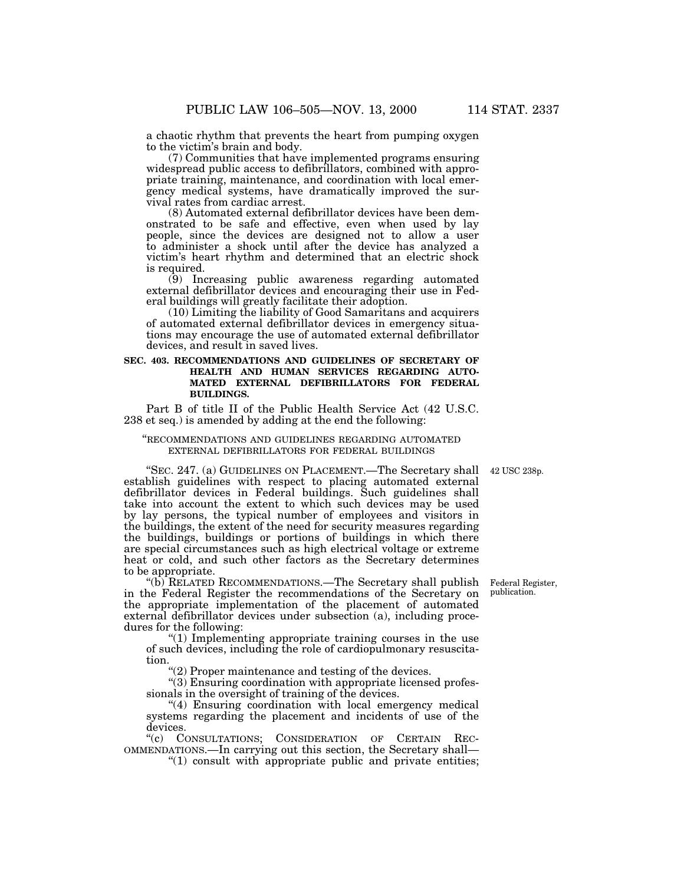a chaotic rhythm that prevents the heart from pumping oxygen to the victim's brain and body.

(7) Communities that have implemented programs ensuring widespread public access to defibrillators, combined with appropriate training, maintenance, and coordination with local emergency medical systems, have dramatically improved the survival rates from cardiac arrest.

(8) Automated external defibrillator devices have been demonstrated to be safe and effective, even when used by lay people, since the devices are designed not to allow a user to administer a shock until after the device has analyzed a victim's heart rhythm and determined that an electric shock is required.

(9) Increasing public awareness regarding automated external defibrillator devices and encouraging their use in Federal buildings will greatly facilitate their adoption.

(10) Limiting the liability of Good Samaritans and acquirers of automated external defibrillator devices in emergency situations may encourage the use of automated external defibrillator devices, and result in saved lives.

#### **SEC. 403. RECOMMENDATIONS AND GUIDELINES OF SECRETARY OF HEALTH AND HUMAN SERVICES REGARDING AUTO-MATED EXTERNAL DEFIBRILLATORS FOR FEDERAL BUILDINGS.**

Part B of title II of the Public Health Service Act (42 U.S.C. 238 et seq.) is amended by adding at the end the following:

#### ''RECOMMENDATIONS AND GUIDELINES REGARDING AUTOMATED EXTERNAL DEFIBRILLATORS FOR FEDERAL BUILDINGS

42 USC 238p.

''SEC. 247. (a) GUIDELINES ON PLACEMENT.—The Secretary shall establish guidelines with respect to placing automated external defibrillator devices in Federal buildings. Such guidelines shall take into account the extent to which such devices may be used by lay persons, the typical number of employees and visitors in the buildings, the extent of the need for security measures regarding the buildings, buildings or portions of buildings in which there are special circumstances such as high electrical voltage or extreme heat or cold, and such other factors as the Secretary determines to be appropriate.

''(b) RELATED RECOMMENDATIONS.—The Secretary shall publish in the Federal Register the recommendations of the Secretary on the appropriate implementation of the placement of automated external defibrillator devices under subsection (a), including procedures for the following:

''(1) Implementing appropriate training courses in the use of such devices, including the role of cardiopulmonary resuscitation.

 $(2)$  Proper maintenance and testing of the devices.

''(3) Ensuring coordination with appropriate licensed professionals in the oversight of training of the devices.

"(4) Ensuring coordination with local emergency medical systems regarding the placement and incidents of use of the devices.

''(c) CONSULTATIONS; CONSIDERATION OF CERTAIN REC- OMMENDATIONS.—In carrying out this section, the Secretary shall— ''(1) consult with appropriate public and private entities;

Federal Register, publication.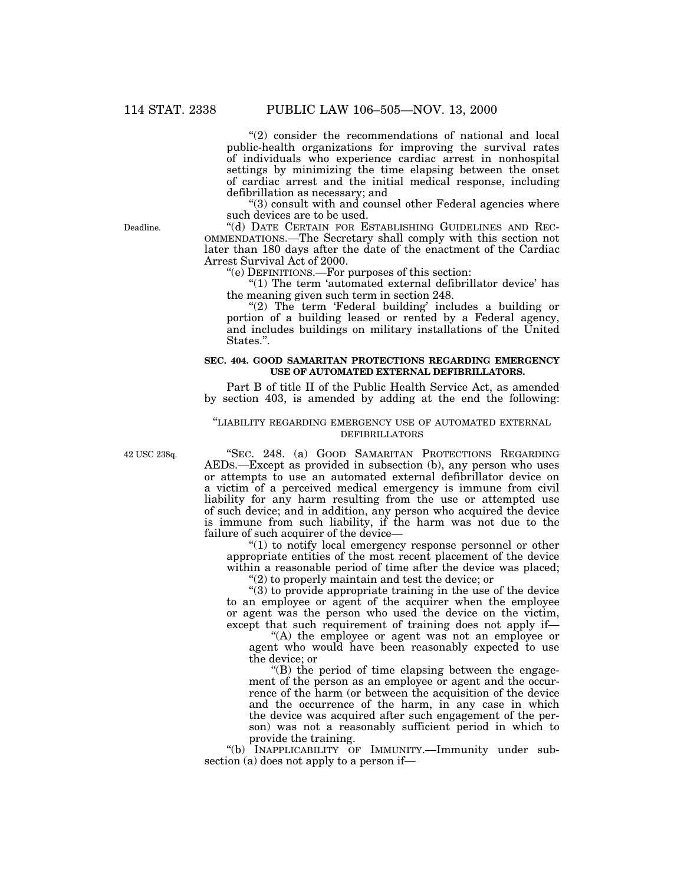"(2) consider the recommendations of national and local public-health organizations for improving the survival rates of individuals who experience cardiac arrest in nonhospital settings by minimizing the time elapsing between the onset of cardiac arrest and the initial medical response, including defibrillation as necessary; and

"(3) consult with and counsel other Federal agencies where such devices are to be used.

''(d) DATE CERTAIN FOR ESTABLISHING GUIDELINES AND REC-OMMENDATIONS.—The Secretary shall comply with this section not later than 180 days after the date of the enactment of the Cardiac Arrest Survival Act of 2000.

''(e) DEFINITIONS.—For purposes of this section:

"(1) The term 'automated external defibrillator device' has the meaning given such term in section 248.

"(2) The term 'Federal building' includes a building or portion of a building leased or rented by a Federal agency, and includes buildings on military installations of the United States.''.

### **SEC. 404. GOOD SAMARITAN PROTECTIONS REGARDING EMERGENCY USE OF AUTOMATED EXTERNAL DEFIBRILLATORS.**

Part B of title II of the Public Health Service Act, as amended by section 403, is amended by adding at the end the following:

#### ''LIABILITY REGARDING EMERGENCY USE OF AUTOMATED EXTERNAL DEFIBRILLATORS

42 USC 238q.

"SEC. 248. (a) GOOD SAMARITAN PROTECTIONS REGARDING AEDS.—Except as provided in subsection (b), any person who uses or attempts to use an automated external defibrillator device on a victim of a perceived medical emergency is immune from civil liability for any harm resulting from the use or attempted use of such device; and in addition, any person who acquired the device is immune from such liability, if the harm was not due to the failure of such acquirer of the device—

''(1) to notify local emergency response personnel or other appropriate entities of the most recent placement of the device within a reasonable period of time after the device was placed;

''(2) to properly maintain and test the device; or

''(3) to provide appropriate training in the use of the device to an employee or agent of the acquirer when the employee or agent was the person who used the device on the victim, except that such requirement of training does not apply if—

''(A) the employee or agent was not an employee or agent who would have been reasonably expected to use the device; or

''(B) the period of time elapsing between the engagement of the person as an employee or agent and the occurrence of the harm (or between the acquisition of the device and the occurrence of the harm, in any case in which the device was acquired after such engagement of the person) was not a reasonably sufficient period in which to provide the training.

"(b) INAPPLICABILITY OF IMMUNITY.—Immunity under subsection (a) does not apply to a person if—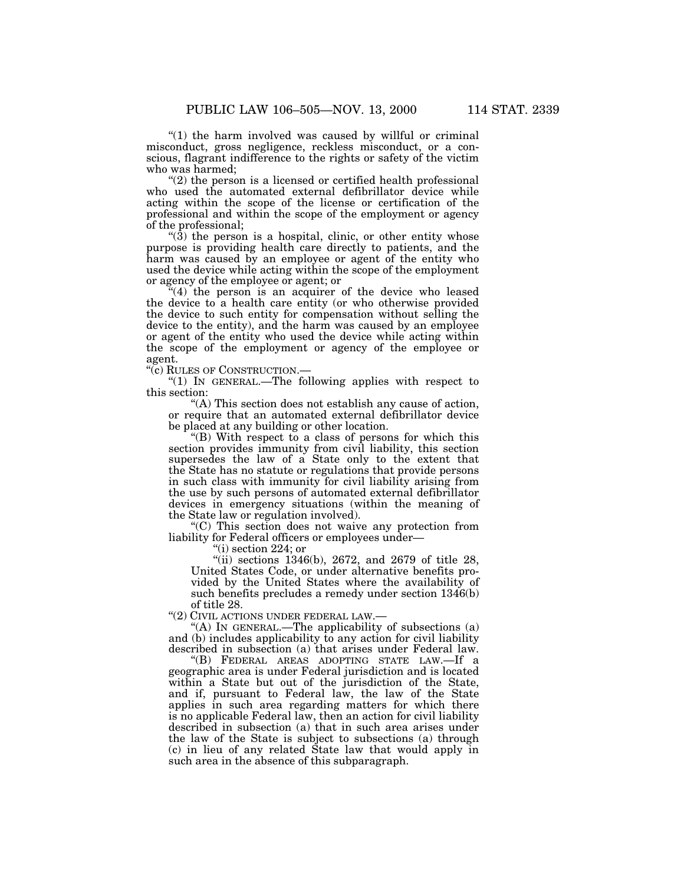" $(1)$  the harm involved was caused by willful or criminal misconduct, gross negligence, reckless misconduct, or a conscious, flagrant indifference to the rights or safety of the victim who was harmed;

 $(2)$  the person is a licensed or certified health professional who used the automated external defibrillator device while acting within the scope of the license or certification of the professional and within the scope of the employment or agency of the professional;

" $(3)$  the person is a hospital, clinic, or other entity whose purpose is providing health care directly to patients, and the harm was caused by an employee or agent of the entity who used the device while acting within the scope of the employment or agency of the employee or agent; or

 $(4)$  the person is an acquirer of the device who leased the device to a health care entity (or who otherwise provided the device to such entity for compensation without selling the device to the entity), and the harm was caused by an employee or agent of the entity who used the device while acting within the scope of the employment or agency of the employee or agent.

''(c) RULES OF CONSTRUCTION.—

''(1) IN GENERAL.—The following applies with respect to this section:

''(A) This section does not establish any cause of action, or require that an automated external defibrillator device be placed at any building or other location.

''(B) With respect to a class of persons for which this section provides immunity from civil liability, this section supersedes the law of a State only to the extent that the State has no statute or regulations that provide persons in such class with immunity for civil liability arising from the use by such persons of automated external defibrillator devices in emergency situations (within the meaning of the State law or regulation involved).

"(C) This section does not waive any protection from liability for Federal officers or employees under—

''(i) section 224; or

 $"$ (ii) sections 1346(b), 2672, and 2679 of title 28, United States Code, or under alternative benefits provided by the United States where the availability of such benefits precludes a remedy under section 1346(b) of title 28.

''(2) CIVIL ACTIONS UNDER FEDERAL LAW.—

"(A) IN GENERAL.—The applicability of subsections  $(a)$ and (b) includes applicability to any action for civil liability described in subsection (a) that arises under Federal law.

''(B) FEDERAL AREAS ADOPTING STATE LAW.—If a geographic area is under Federal jurisdiction and is located within a State but out of the jurisdiction of the State, and if, pursuant to Federal law, the law of the State applies in such area regarding matters for which there is no applicable Federal law, then an action for civil liability described in subsection (a) that in such area arises under the law of the State is subject to subsections (a) through (c) in lieu of any related State law that would apply in such area in the absence of this subparagraph.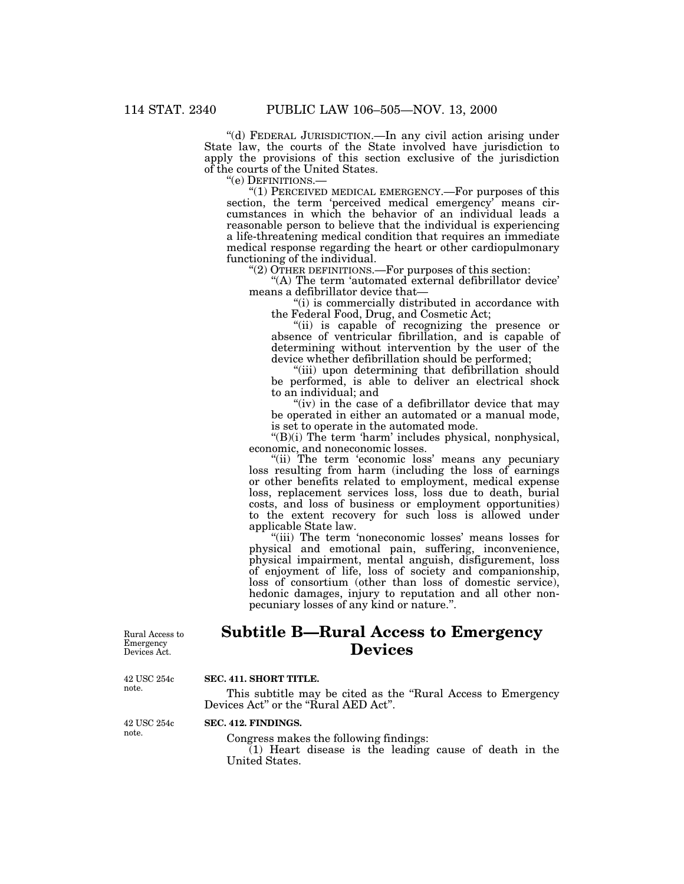''(d) FEDERAL JURISDICTION.—In any civil action arising under State law, the courts of the State involved have jurisdiction to apply the provisions of this section exclusive of the jurisdiction of the courts of the United States.<br>
"(e) DEFINITIONS.—

" $(1)$  PERCEIVED MEDICAL EMERGENCY.—For purposes of this section, the term 'perceived medical emergency' means circumstances in which the behavior of an individual leads a reasonable person to believe that the individual is experiencing a life-threatening medical condition that requires an immediate medical response regarding the heart or other cardiopulmonary

functioning of the individual.<br>
"(2) OTHER DEFINITIONS.—For purposes of this section:<br>
"(A) The term 'automated external defibrillator device'<br>
means a defibrillator device that—<br>
"(i) is commercially distributed in accord

"(ii) is capable of recognizing the presence or absence of ventricular fibrillation, and is capable of determining without intervention by the user of the device whether defibrillation should be performed; ''(iii) upon determining that defibrillation should

be performed, is able to deliver an electrical shock to an individual; and  $''(iv)$  in the case of a defibrillator device that may

be operated in either an automated or a manual mode, is set to operate in the automated mode.

''(B)(i) The term 'harm' includes physical, nonphysical, economic, and noneconomic losses.

"(ii) The term 'economic loss' means any pecuniary loss resulting from harm (including the loss of earnings or other benefits related to employment, medical expense loss, replacement services loss, loss due to death, burial costs, and loss of business or employment opportunities) to the extent recovery for such loss is allowed under applicable State law.

''(iii) The term 'noneconomic losses' means losses for physical and emotional pain, suffering, inconvenience, physical impairment, mental anguish, disfigurement, loss of enjoyment of life, loss of society and companionship, loss of consortium (other than loss of domestic service), hedonic damages, injury to reputation and all other nonpecuniary losses of any kind or nature.''.

Rural Access to Emergency Devices Act.

# **Subtitle B—Rural Access to Emergency Devices**

42 USC 254c note.

### **SEC. 411. SHORT TITLE.**

This subtitle may be cited as the "Rural Access to Emergency Devices Act" or the "Rural AED Act".

42 USC 254c note.

### **SEC. 412. FINDINGS.**

Congress makes the following findings:

 $(1)$  Heart disease is the leading cause of death in the United States.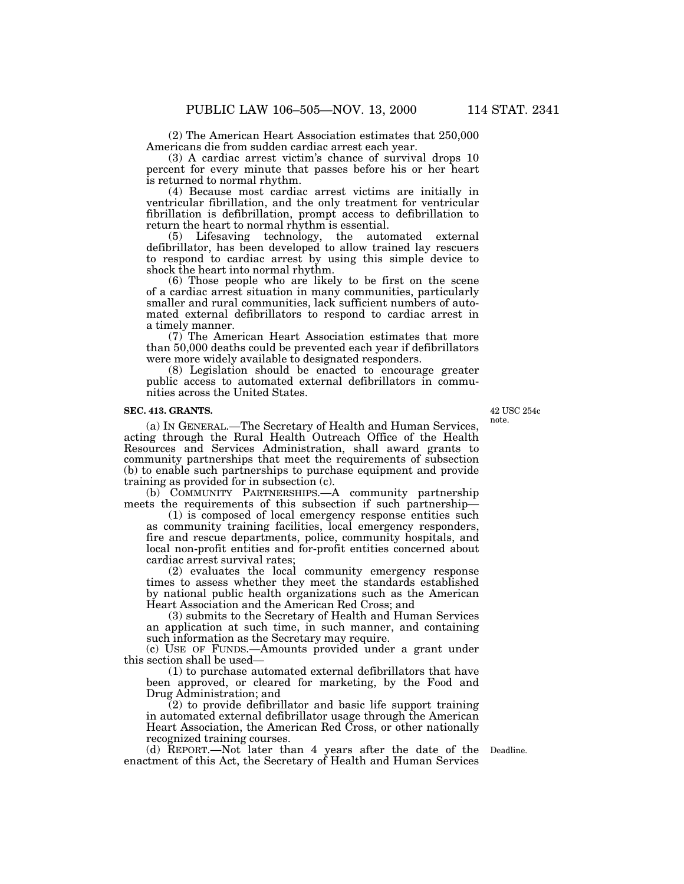(2) The American Heart Association estimates that 250,000 Americans die from sudden cardiac arrest each year.

(3) A cardiac arrest victim's chance of survival drops 10 percent for every minute that passes before his or her heart is returned to normal rhythm.

(4) Because most cardiac arrest victims are initially in ventricular fibrillation, and the only treatment for ventricular fibrillation is defibrillation, prompt access to defibrillation to return the heart to normal rhythm is essential.

(5) Lifesaving technology, the automated external defibrillator, has been developed to allow trained lay rescuers to respond to cardiac arrest by using this simple device to shock the heart into normal rhythm.

(6) Those people who are likely to be first on the scene of a cardiac arrest situation in many communities, particularly smaller and rural communities, lack sufficient numbers of automated external defibrillators to respond to cardiac arrest in a timely manner.

(7) The American Heart Association estimates that more than 50,000 deaths could be prevented each year if defibrillators were more widely available to designated responders.

(8) Legislation should be enacted to encourage greater public access to automated external defibrillators in communities across the United States.

#### **SEC. 413. GRANTS.**

(a) IN GENERAL.—The Secretary of Health and Human Services, acting through the Rural Health Outreach Office of the Health Resources and Services Administration, shall award grants to community partnerships that meet the requirements of subsection (b) to enable such partnerships to purchase equipment and provide training as provided for in subsection (c).

(b) COMMUNITY PARTNERSHIPS.—A community partnership meets the requirements of this subsection if such partnership—

(1) is composed of local emergency response entities such as community training facilities, local emergency responders, fire and rescue departments, police, community hospitals, and local non-profit entities and for-profit entities concerned about cardiac arrest survival rates;

(2) evaluates the local community emergency response times to assess whether they meet the standards established by national public health organizations such as the American Heart Association and the American Red Cross; and

(3) submits to the Secretary of Health and Human Services an application at such time, in such manner, and containing such information as the Secretary may require.

(c) USE OF FUNDS.—Amounts provided under a grant under this section shall be used—

(1) to purchase automated external defibrillators that have been approved, or cleared for marketing, by the Food and Drug Administration; and

 $(2)$  to provide defibrillator and basic life support training in automated external defibrillator usage through the American Heart Association, the American Red Cross, or other nationally recognized training courses.

(d) REPORT.—Not later than 4 years after the date of the Deadline. enactment of this Act, the Secretary of Health and Human Services

42 USC 254c note.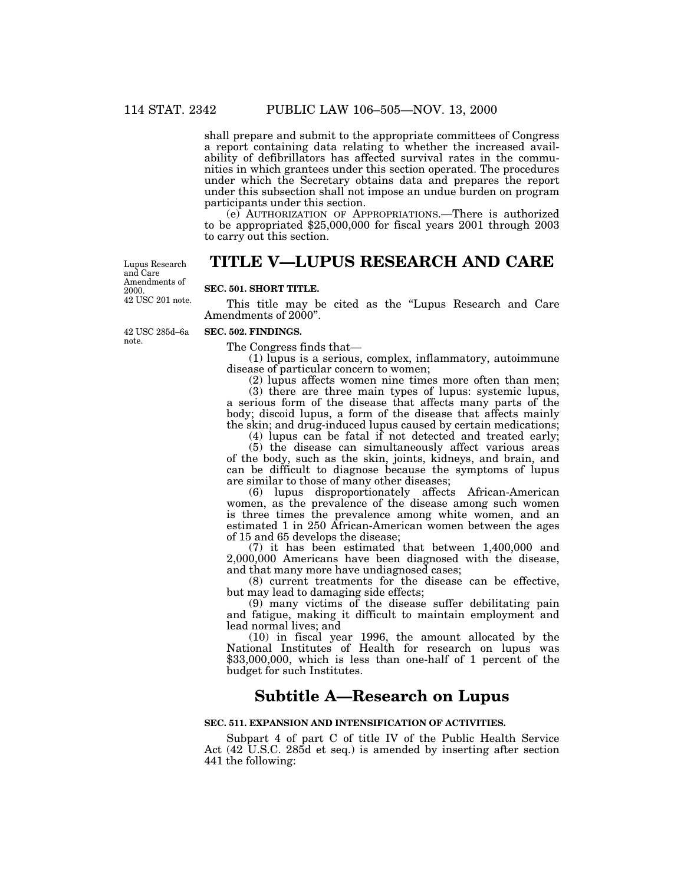shall prepare and submit to the appropriate committees of Congress a report containing data relating to whether the increased availability of defibrillators has affected survival rates in the communities in which grantees under this section operated. The procedures under which the Secretary obtains data and prepares the report under this subsection shall not impose an undue burden on program participants under this section.

(e) AUTHORIZATION OF APPROPRIATIONS.—There is authorized to be appropriated \$25,000,000 for fiscal years 2001 through 2003 to carry out this section.

# **TITLE V—LUPUS RESEARCH AND CARE**

42 USC 201 note. Lupus Research and Care Amendments of 2000.

### **SEC. 501. SHORT TITLE.**

This title may be cited as the "Lupus Research and Care" Amendments of 2000''.

42 USC 285d–6a note.

### **SEC. 502. FINDINGS.**

The Congress finds that—

 $(1)$  lupus is a serious, complex, inflammatory, autoimmune disease of particular concern to women;

(2) lupus affects women nine times more often than men; (3) there are three main types of lupus: systemic lupus, a serious form of the disease that affects many parts of the body; discoid lupus, a form of the disease that affects mainly the skin; and drug-induced lupus caused by certain medications;

(4) lupus can be fatal if not detected and treated early;

(5) the disease can simultaneously affect various areas of the body, such as the skin, joints, kidneys, and brain, and can be difficult to diagnose because the symptoms of lupus are similar to those of many other diseases;

(6) lupus disproportionately affects African-American women, as the prevalence of the disease among such women is three times the prevalence among white women, and an estimated 1 in 250 African-American women between the ages of 15 and 65 develops the disease;

(7) it has been estimated that between 1,400,000 and 2,000,000 Americans have been diagnosed with the disease, and that many more have undiagnosed cases;

(8) current treatments for the disease can be effective, but may lead to damaging side effects;

(9) many victims of the disease suffer debilitating pain and fatigue, making it difficult to maintain employment and lead normal lives; and

(10) in fiscal year 1996, the amount allocated by the National Institutes of Health for research on lupus was \$33,000,000, which is less than one-half of 1 percent of the budget for such Institutes.

# **Subtitle A—Research on Lupus**

#### **SEC. 511. EXPANSION AND INTENSIFICATION OF ACTIVITIES.**

Subpart 4 of part C of title IV of the Public Health Service Act (42 U.S.C. 285d et seq.) is amended by inserting after section 441 the following: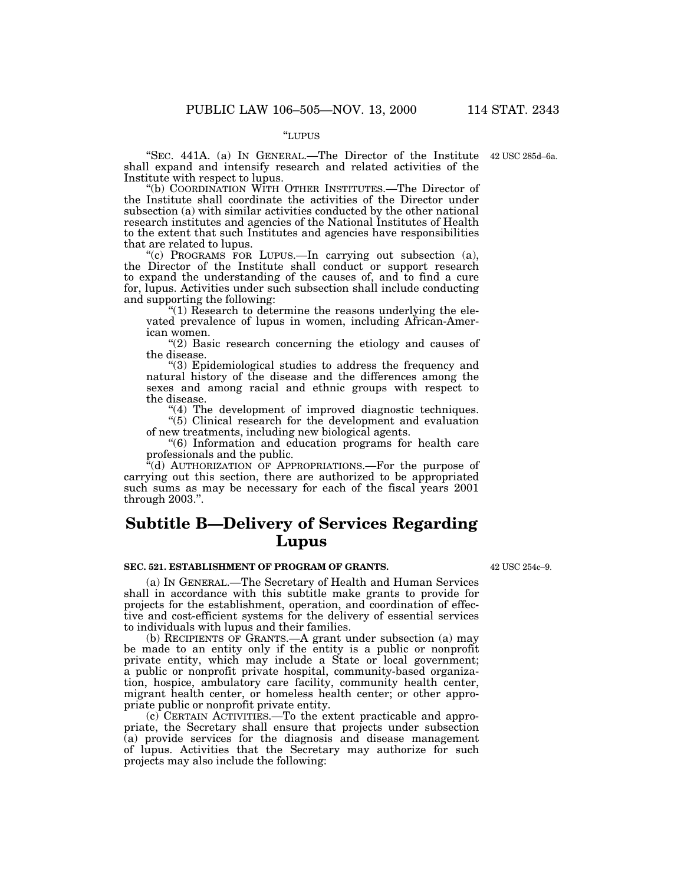#### ''LUPUS

"SEC. 441A. (a) IN GENERAL.—The Director of the Institute 42 USC 285d–6a. shall expand and intensify research and related activities of the

"(b) COORDINATION WITH OTHER INSTITUTES.—The Director of the Institute shall coordinate the activities of the Director under subsection (a) with similar activities conducted by the other national research institutes and agencies of the National Institutes of Health to the extent that such Institutes and agencies have responsibilities

"(c) PROGRAMS FOR LUPUS.—In carrying out subsection (a), the Director of the Institute shall conduct or support research to expand the understanding of the causes of, and to find a cure for, lupus. Activities under such subsection shall include conducting

"(1) Research to determine the reasons underlying the elevated prevalence of lupus in women, including African-Amer-

" $(2)$  Basic research concerning the etiology and causes of the disease.<br>
"(3) Epidemiological studies to address the frequency and

natural history of the disease and the differences among the sexes and among racial and ethnic groups with respect to

 $(4)$  The development of improved diagnostic techniques. ''(5) Clinical research for the development and evaluation

of new treatments, including new biological agents.

''(6) Information and education programs for health care professionals and the public.

"(d) AUTHORIZATION OF APPROPRIATIONS.—For the purpose of carrying out this section, there are authorized to be appropriated such sums as may be necessary for each of the fiscal years 2001 through 2003.''.

# **Subtitle B—Delivery of Services Regarding Lupus**

#### **SEC. 521. ESTABLISHMENT OF PROGRAM OF GRANTS.**

(a) IN GENERAL.—The Secretary of Health and Human Services shall in accordance with this subtitle make grants to provide for projects for the establishment, operation, and coordination of effective and cost-efficient systems for the delivery of essential services to individuals with lupus and their families.

(b) RECIPIENTS OF GRANTS.—A grant under subsection (a) may be made to an entity only if the entity is a public or nonprofit private entity, which may include a State or local government; a public or nonprofit private hospital, community-based organization, hospice, ambulatory care facility, community health center, migrant health center, or homeless health center; or other appropriate public or nonprofit private entity.

(c) CERTAIN ACTIVITIES.—To the extent practicable and appropriate, the Secretary shall ensure that projects under subsection (a) provide services for the diagnosis and disease management of lupus. Activities that the Secretary may authorize for such projects may also include the following:

42 USC 254c–9.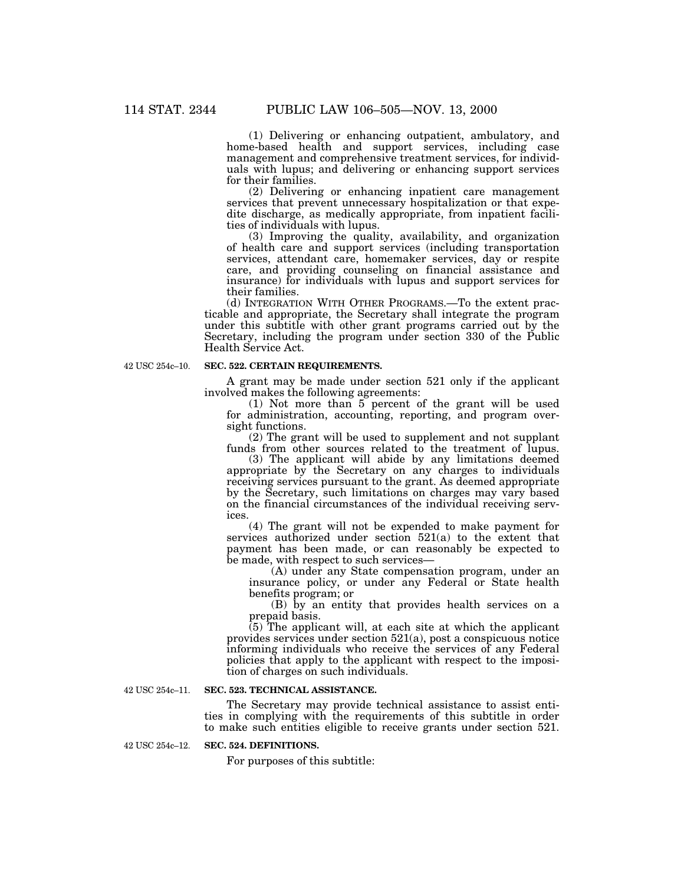(1) Delivering or enhancing outpatient, ambulatory, and home-based health and support services, including case management and comprehensive treatment services, for individuals with lupus; and delivering or enhancing support services for their families.

(2) Delivering or enhancing inpatient care management services that prevent unnecessary hospitalization or that expedite discharge, as medically appropriate, from inpatient facilities of individuals with lupus.

(3) Improving the quality, availability, and organization of health care and support services (including transportation services, attendant care, homemaker services, day or respite care, and providing counseling on financial assistance and insurance) for individuals with lupus and support services for their families.

(d) INTEGRATION WITH OTHER PROGRAMS.—To the extent practicable and appropriate, the Secretary shall integrate the program under this subtitle with other grant programs carried out by the Secretary, including the program under section 330 of the Public Health Service Act.

42 USC 254c–10.

#### **SEC. 522. CERTAIN REQUIREMENTS.**

A grant may be made under section 521 only if the applicant involved makes the following agreements:

(1) Not more than 5 percent of the grant will be used for administration, accounting, reporting, and program oversight functions.

(2) The grant will be used to supplement and not supplant funds from other sources related to the treatment of lupus.

(3) The applicant will abide by any limitations deemed appropriate by the Secretary on any charges to individuals receiving services pursuant to the grant. As deemed appropriate by the Secretary, such limitations on charges may vary based on the financial circumstances of the individual receiving services.

(4) The grant will not be expended to make payment for services authorized under section 521(a) to the extent that payment has been made, or can reasonably be expected to be made, with respect to such services—

(A) under any State compensation program, under an insurance policy, or under any Federal or State health benefits program; or

(B) by an entity that provides health services on a prepaid basis.

(5) The applicant will, at each site at which the applicant provides services under section 521(a), post a conspicuous notice informing individuals who receive the services of any Federal policies that apply to the applicant with respect to the imposition of charges on such individuals.

42 USC 254c–11.

#### **SEC. 523. TECHNICAL ASSISTANCE.**

The Secretary may provide technical assistance to assist entities in complying with the requirements of this subtitle in order to make such entities eligible to receive grants under section 521.

42 USC 254c–12.

### **SEC. 524. DEFINITIONS.**

For purposes of this subtitle: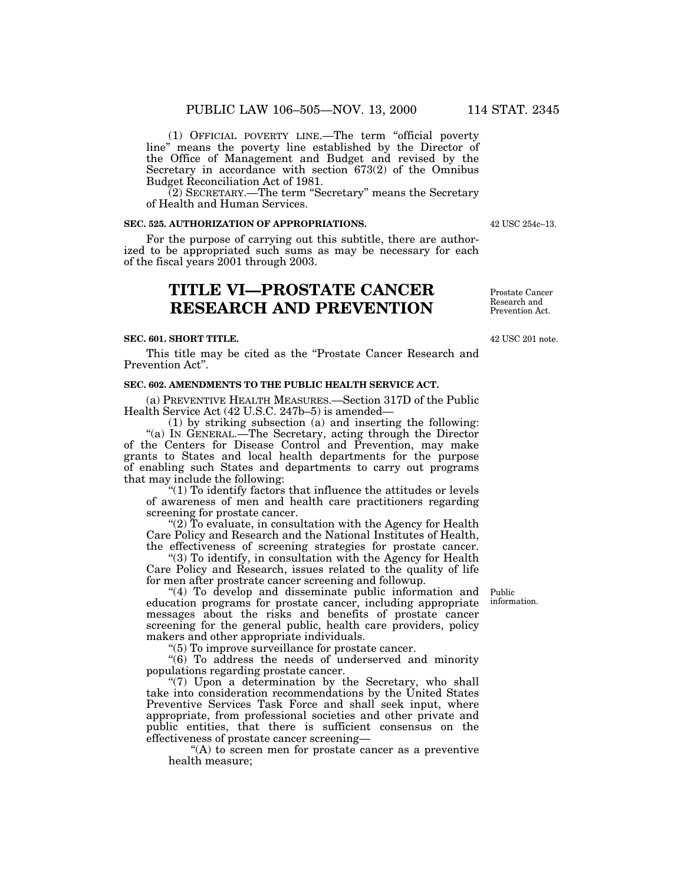(1) OFFICIAL POVERTY LINE.—The term ''official poverty line'' means the poverty line established by the Director of the Office of Management and Budget and revised by the Secretary in accordance with section 673(2) of the Omnibus Budget Reconciliation Act of 1981.

(2) SECRETARY.—The term ''Secretary'' means the Secretary of Health and Human Services.

#### **SEC. 525. AUTHORIZATION OF APPROPRIATIONS.**

For the purpose of carrying out this subtitle, there are authorized to be appropriated such sums as may be necessary for each of the fiscal years 2001 through 2003.

# **TITLE VI—PROSTATE CANCER RESEARCH AND PREVENTION**

#### **SEC. 601. SHORT TITLE.**

This title may be cited as the "Prostate Cancer Research and Prevention Act''.

### **SEC. 602. AMENDMENTS TO THE PUBLIC HEALTH SERVICE ACT.**

(a) PREVENTIVE HEALTH MEASURES.—Section 317D of the Public Health Service Act (42 U.S.C. 247b–5) is amended—

(1) by striking subsection (a) and inserting the following: "(a) IN GENERAL.—The Secretary, acting through the Director of the Centers for Disease Control and Prevention, may make grants to States and local health departments for the purpose of enabling such States and departments to carry out programs that may include the following:

" $(1)$  To identify factors that influence the attitudes or levels of awareness of men and health care practitioners regarding screening for prostate cancer.

"(2) To evaluate, in consultation with the Agency for Health Care Policy and Research and the National Institutes of Health, the effectiveness of screening strategies for prostate cancer.

"(3) To identify, in consultation with the Agency for Health Care Policy and Research, issues related to the quality of life for men after prostrate cancer screening and followup.

"(4) To develop and disseminate public information and Public education programs for prostate cancer, including appropriate messages about the risks and benefits of prostate cancer screening for the general public, health care providers, policy makers and other appropriate individuals.

''(5) To improve surveillance for prostate cancer.

''(6) To address the needs of underserved and minority populations regarding prostate cancer.

"(7) Upon a determination by the Secretary, who shall take into consideration recommendations by the United States Preventive Services Task Force and shall seek input, where appropriate, from professional societies and other private and public entities, that there is sufficient consensus on the effectiveness of prostate cancer screening—

"(A) to screen men for prostate cancer as a preventive health measure;

information.

Prostate Cancer Research and Prevention Act.

42 USC 201 note.

42 USC 254c–13.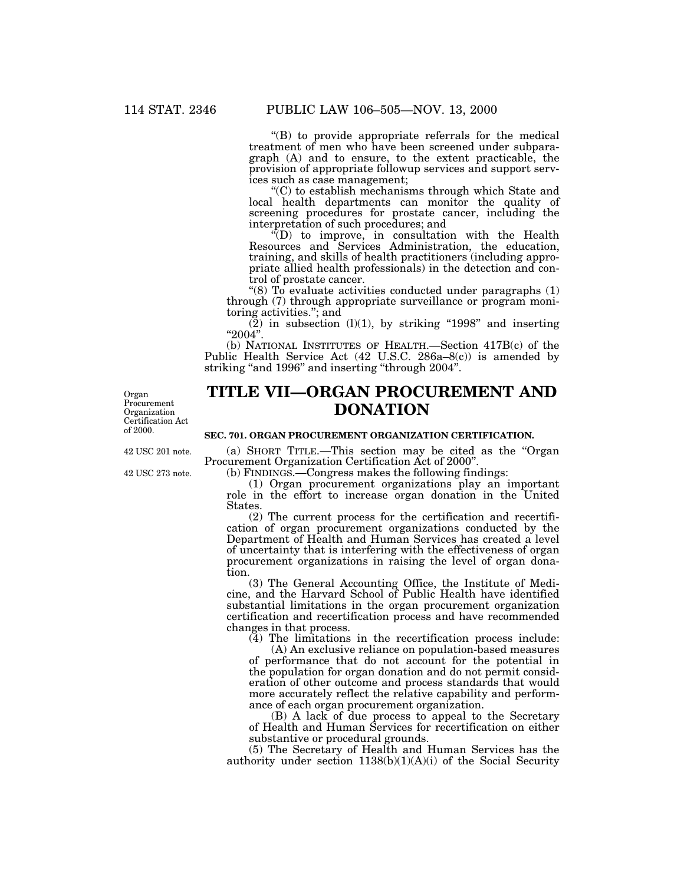''(B) to provide appropriate referrals for the medical treatment of men who have been screened under subparagraph (A) and to ensure, to the extent practicable, the provision of appropriate followup services and support services such as case management;<br>"(C) to establish mechanisms through which State and

local health departments can monitor the quality of screening procedures for prostate cancer, including the interpretation of such procedures; and

 $\cdot$ <sup>t</sup>(D) to improve, in consultation with the Health Resources and Services Administration, the education, training, and skills of health practitioners (including appropriate allied health professionals) in the detection and control of prostate cancer.

"(8)  $\overline{To}$  evaluate activities conducted under paragraphs (1) through (7) through appropriate surveillance or program monitoring activities."; and<br>  $(2)$  in subsection (1)(1), by striking "1998" and inserting

(2) in subsection (l)(1), by striking ''1998'' and inserting ''2004''. (b) NATIONAL INSTITUTES OF HEALTH.—Section 417B(c) of the

Public Health Service Act (42 U.S.C. 286a–8(c)) is amended by striking "and 1996" and inserting "through 2004".

Organ Procurement Organization Certification Act of 2000.

# **TITLE VII—ORGAN PROCUREMENT AND DONATION**

#### **SEC. 701. ORGAN PROCUREMENT ORGANIZATION CERTIFICATION.**

42 USC 201 note.

42 USC 273 note.

(a) SHORT TITLE.—This section may be cited as the "Organ Procurement Organization Certification Act of 2000".

(b) FINDINGS.—Congress makes the following findings:

(1) Organ procurement organizations play an important role in the effort to increase organ donation in the United States.

(2) The current process for the certification and recertification of organ procurement organizations conducted by the Department of Health and Human Services has created a level of uncertainty that is interfering with the effectiveness of organ procurement organizations in raising the level of organ donation.

(3) The General Accounting Office, the Institute of Medicine, and the Harvard School of Public Health have identified substantial limitations in the organ procurement organization certification and recertification process and have recommended changes in that process.

(4) The limitations in the recertification process include:

(A) An exclusive reliance on population-based measures of performance that do not account for the potential in the population for organ donation and do not permit consideration of other outcome and process standards that would more accurately reflect the relative capability and performance of each organ procurement organization.

(B) A lack of due process to appeal to the Secretary of Health and Human Services for recertification on either substantive or procedural grounds.

(5) The Secretary of Health and Human Services has the authority under section  $1138(b)(1)(A)(i)$  of the Social Security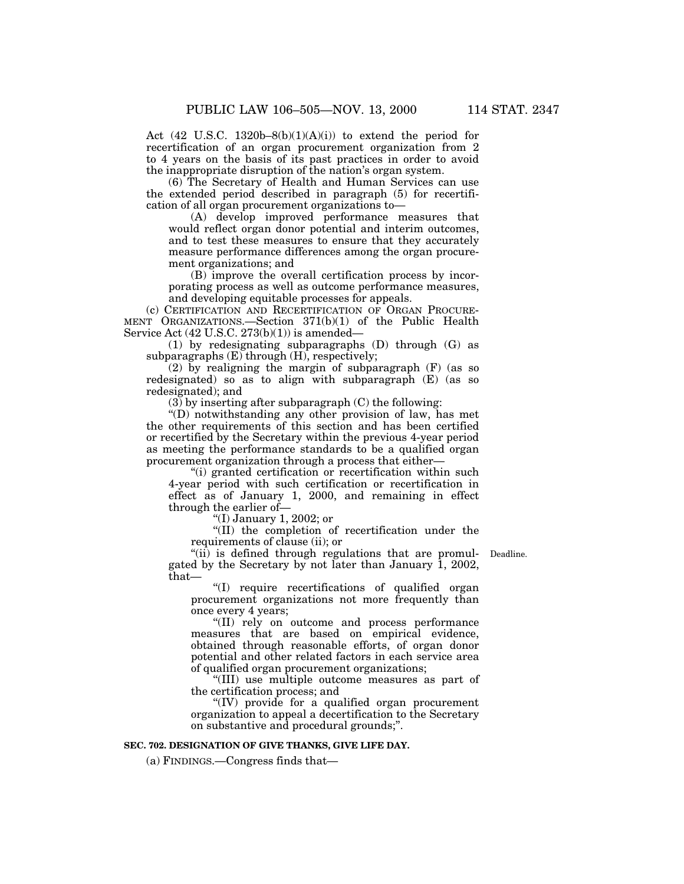Act  $(42 \text{ U.S.C. } 1320b-8(b)(1)(A)(i))$  to extend the period for recertification of an organ procurement organization from 2 to 4 years on the basis of its past practices in order to avoid the inappropriate disruption of the nation's organ system.

(6) The Secretary of Health and Human Services can use the extended period described in paragraph (5) for recertification of all organ procurement organizations to—

(A) develop improved performance measures that would reflect organ donor potential and interim outcomes, and to test these measures to ensure that they accurately measure performance differences among the organ procurement organizations; and

(B) improve the overall certification process by incorporating process as well as outcome performance measures, and developing equitable processes for appeals.

(c) CERTIFICATION AND RECERTIFICATION OF ORGAN PROCURE-MENT ORGANIZATIONS.—Section 371(b)(1) of the Public Health Service Act  $(42 \text{ U.S.C. } 273(b)(1))$  is amended—

(1) by redesignating subparagraphs (D) through (G) as subparagraphs (E) through (H), respectively;

(2) by realigning the margin of subparagraph (F) (as so redesignated) so as to align with subparagraph (E) (as so redesignated); and

(3) by inserting after subparagraph (C) the following:

''(D) notwithstanding any other provision of law, has met the other requirements of this section and has been certified or recertified by the Secretary within the previous 4-year period as meeting the performance standards to be a qualified organ procurement organization through a process that either—

''(i) granted certification or recertification within such 4-year period with such certification or recertification in effect as of January 1, 2000, and remaining in effect through the earlier of—

''(I) January 1, 2002; or

''(II) the completion of recertification under the requirements of clause (ii); or

"(ii) is defined through regulations that are promulgated by the Secretary by not later than January 1, 2002, that—

Deadline.

''(I) require recertifications of qualified organ procurement organizations not more frequently than once every 4 years;

''(II) rely on outcome and process performance measures that are based on empirical evidence, obtained through reasonable efforts, of organ donor potential and other related factors in each service area of qualified organ procurement organizations;

''(III) use multiple outcome measures as part of the certification process; and

''(IV) provide for a qualified organ procurement organization to appeal a decertification to the Secretary on substantive and procedural grounds;''.

### **SEC. 702. DESIGNATION OF GIVE THANKS, GIVE LIFE DAY.**

(a) FINDINGS.—Congress finds that—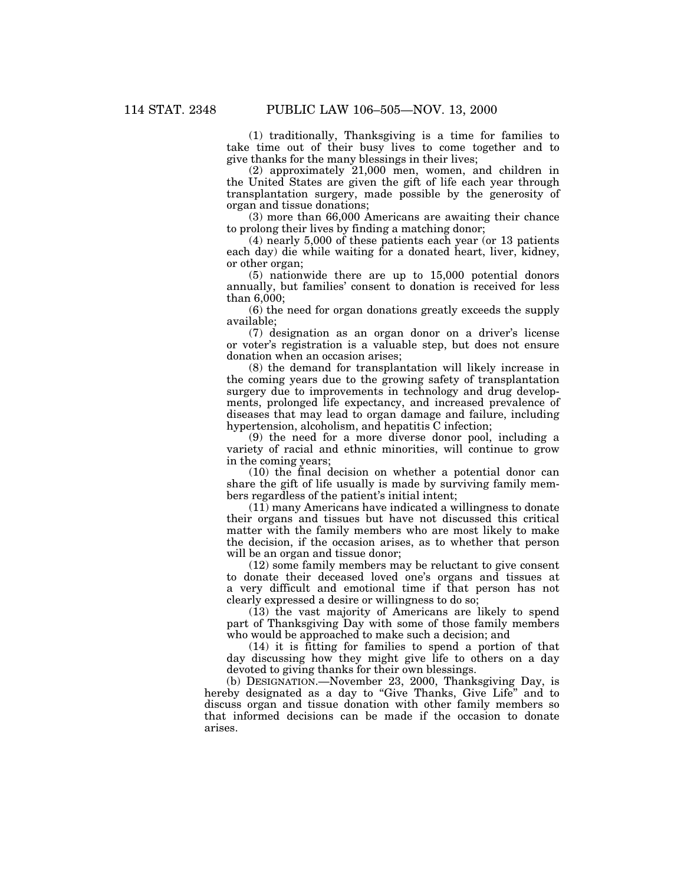(1) traditionally, Thanksgiving is a time for families to take time out of their busy lives to come together and to give thanks for the many blessings in their lives;

(2) approximately 21,000 men, women, and children in the United States are given the gift of life each year through transplantation surgery, made possible by the generosity of organ and tissue donations;

(3) more than 66,000 Americans are awaiting their chance to prolong their lives by finding a matching donor;

(4) nearly 5,000 of these patients each year (or 13 patients each day) die while waiting for a donated heart, liver, kidney, or other organ;

(5) nationwide there are up to 15,000 potential donors annually, but families' consent to donation is received for less than 6,000;

(6) the need for organ donations greatly exceeds the supply available;

(7) designation as an organ donor on a driver's license or voter's registration is a valuable step, but does not ensure donation when an occasion arises;

(8) the demand for transplantation will likely increase in the coming years due to the growing safety of transplantation surgery due to improvements in technology and drug developments, prolonged life expectancy, and increased prevalence of diseases that may lead to organ damage and failure, including hypertension, alcoholism, and hepatitis C infection;

(9) the need for a more diverse donor pool, including a variety of racial and ethnic minorities, will continue to grow in the coming years;

(10) the final decision on whether a potential donor can share the gift of life usually is made by surviving family members regardless of the patient's initial intent;

(11) many Americans have indicated a willingness to donate their organs and tissues but have not discussed this critical matter with the family members who are most likely to make the decision, if the occasion arises, as to whether that person will be an organ and tissue donor;

(12) some family members may be reluctant to give consent to donate their deceased loved one's organs and tissues at a very difficult and emotional time if that person has not clearly expressed a desire or willingness to do so;

(13) the vast majority of Americans are likely to spend part of Thanksgiving Day with some of those family members who would be approached to make such a decision; and

(14) it is fitting for families to spend a portion of that day discussing how they might give life to others on a day devoted to giving thanks for their own blessings.

(b) DESIGNATION.—November 23, 2000, Thanksgiving Day, is hereby designated as a day to "Give Thanks, Give Life" and to discuss organ and tissue donation with other family members so that informed decisions can be made if the occasion to donate arises.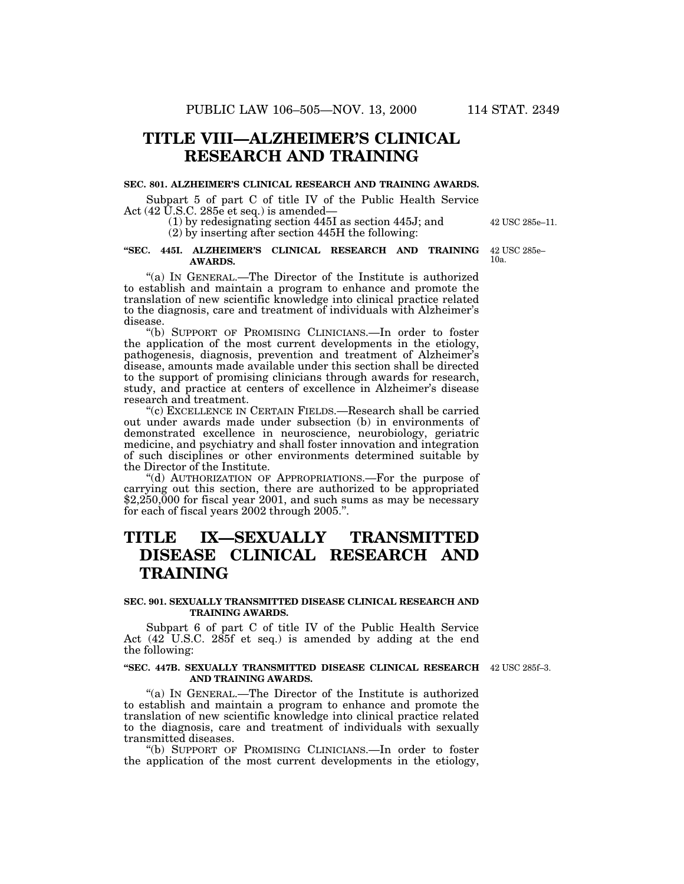# **TITLE VIII—ALZHEIMER'S CLINICAL RESEARCH AND TRAINING**

### **SEC. 801. ALZHEIMER'S CLINICAL RESEARCH AND TRAINING AWARDS.**

Subpart 5 of part C of title IV of the Public Health Service Act  $(42 \text{ U.S.C. } 285e \text{ et seq.})$  is amended-

> (1) by redesignating section 445I as section 445J; and (2) by inserting after section 445H the following:

#### **''SEC. 445I. ALZHEIMER'S CLINICAL RESEARCH AND TRAINING AWARDS.**

"(a) IN GENERAL.—The Director of the Institute is authorized to establish and maintain a program to enhance and promote the translation of new scientific knowledge into clinical practice related to the diagnosis, care and treatment of individuals with Alzheimer's disease.

''(b) SUPPORT OF PROMISING CLINICIANS.—In order to foster the application of the most current developments in the etiology, pathogenesis, diagnosis, prevention and treatment of Alzheimer's disease, amounts made available under this section shall be directed to the support of promising clinicians through awards for research, study, and practice at centers of excellence in Alzheimer's disease research and treatment.

''(c) EXCELLENCE IN CERTAIN FIELDS.—Research shall be carried out under awards made under subsection (b) in environments of demonstrated excellence in neuroscience, neurobiology, geriatric medicine, and psychiatry and shall foster innovation and integration of such disciplines or other environments determined suitable by the Director of the Institute.

''(d) AUTHORIZATION OF APPROPRIATIONS.—For the purpose of carrying out this section, there are authorized to be appropriated \$2,250,000 for fiscal year 2001, and such sums as may be necessary for each of fiscal years 2002 through 2005.''.

# **TITLE IX—SEXUALLY TRANSMITTED DISEASE CLINICAL RESEARCH AND TRAINING**

#### **SEC. 901. SEXUALLY TRANSMITTED DISEASE CLINICAL RESEARCH AND TRAINING AWARDS.**

Subpart 6 of part C of title IV of the Public Health Service Act (42 U.S.C. 285f et seq.) is amended by adding at the end the following:

#### **''SEC. 447B. SEXUALLY TRANSMITTED DISEASE CLINICAL RESEARCH** 42 USC 285f–3. **AND TRAINING AWARDS.**

''(a) IN GENERAL.—The Director of the Institute is authorized to establish and maintain a program to enhance and promote the translation of new scientific knowledge into clinical practice related to the diagnosis, care and treatment of individuals with sexually transmitted diseases.

''(b) SUPPORT OF PROMISING CLINICIANS.—In order to foster the application of the most current developments in the etiology,

42 USC 285e–11.

42 USC 285e– 10a.